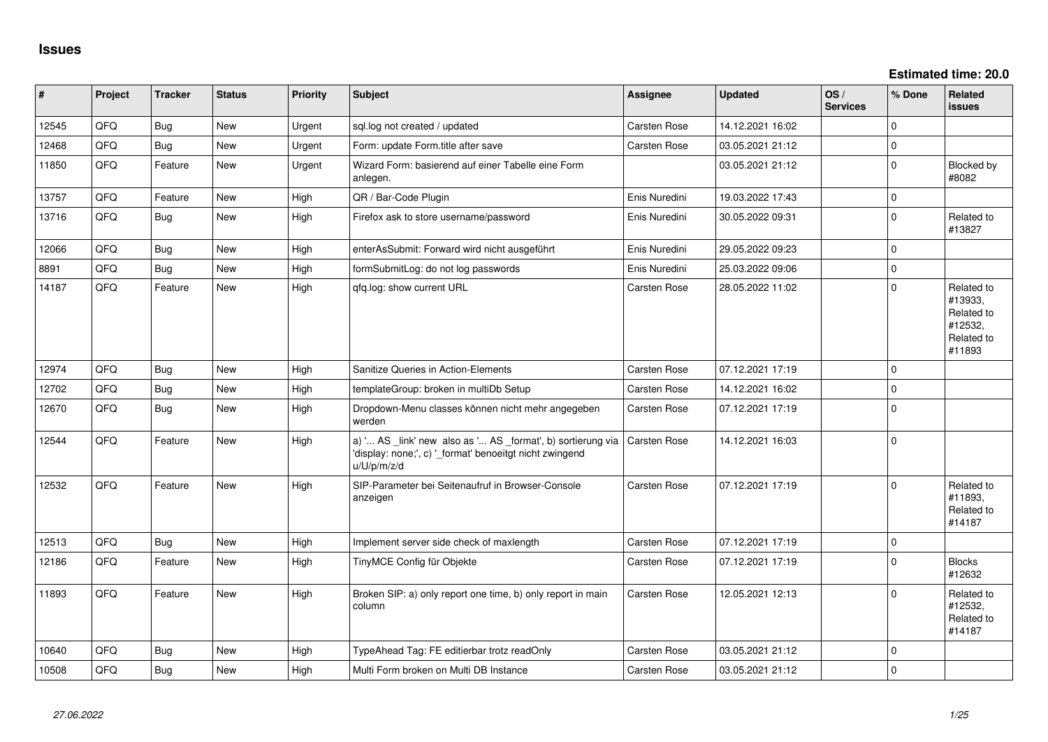**Estimated time: 20.0**

| #     | Project | <b>Tracker</b> | <b>Status</b> | Priority | <b>Subject</b>                                                                                                                        | Assignee            | <b>Updated</b>   | OS/<br><b>Services</b> | % Done      | <b>Related</b><br><b>issues</b>                                        |
|-------|---------|----------------|---------------|----------|---------------------------------------------------------------------------------------------------------------------------------------|---------------------|------------------|------------------------|-------------|------------------------------------------------------------------------|
| 12545 | QFQ     | <b>Bug</b>     | <b>New</b>    | Urgent   | sql.log not created / updated                                                                                                         | Carsten Rose        | 14.12.2021 16:02 |                        | $\Omega$    |                                                                        |
| 12468 | QFQ     | <b>Bug</b>     | New           | Urgent   | Form: update Form.title after save                                                                                                    | Carsten Rose        | 03.05.2021 21:12 |                        | $\mathbf 0$ |                                                                        |
| 11850 | QFQ     | Feature        | New           | Urgent   | Wizard Form: basierend auf einer Tabelle eine Form<br>anlegen.                                                                        |                     | 03.05.2021 21:12 |                        | $\mathbf 0$ | Blocked by<br>#8082                                                    |
| 13757 | QFQ     | Feature        | New           | High     | QR / Bar-Code Plugin                                                                                                                  | Enis Nuredini       | 19.03.2022 17:43 |                        | $\mathbf 0$ |                                                                        |
| 13716 | QFQ     | <b>Bug</b>     | New           | High     | Firefox ask to store username/password                                                                                                | Enis Nuredini       | 30.05.2022 09:31 |                        | $\mathbf 0$ | Related to<br>#13827                                                   |
| 12066 | QFQ     | <b>Bug</b>     | <b>New</b>    | High     | enterAsSubmit: Forward wird nicht ausgeführt                                                                                          | Enis Nuredini       | 29.05.2022 09:23 |                        | $\mathbf 0$ |                                                                        |
| 8891  | QFQ     | <b>Bug</b>     | New           | High     | formSubmitLog: do not log passwords                                                                                                   | Enis Nuredini       | 25.03.2022 09:06 |                        | $\mathbf 0$ |                                                                        |
| 14187 | QFQ     | Feature        | <b>New</b>    | High     | qfq.log: show current URL                                                                                                             | Carsten Rose        | 28.05.2022 11:02 |                        | $\Omega$    | Related to<br>#13933,<br>Related to<br>#12532,<br>Related to<br>#11893 |
| 12974 | QFQ     | <b>Bug</b>     | <b>New</b>    | High     | Sanitize Queries in Action-Elements                                                                                                   | Carsten Rose        | 07.12.2021 17:19 |                        | $\mathbf 0$ |                                                                        |
| 12702 | QFQ     | <b>Bug</b>     | <b>New</b>    | High     | templateGroup: broken in multiDb Setup                                                                                                | Carsten Rose        | 14.12.2021 16:02 |                        | $\mathbf 0$ |                                                                        |
| 12670 | QFQ     | <b>Bug</b>     | <b>New</b>    | High     | Dropdown-Menu classes können nicht mehr angegeben<br>werden                                                                           | Carsten Rose        | 07.12.2021 17:19 |                        | $\Omega$    |                                                                        |
| 12544 | QFQ     | Feature        | New           | High     | a) ' AS _link' new also as ' AS _format', b) sortierung via<br>'display: none;', c) '_format' benoeitgt nicht zwingend<br>u/U/p/m/z/d | <b>Carsten Rose</b> | 14.12.2021 16:03 |                        | $\pmb{0}$   |                                                                        |
| 12532 | QFQ     | Feature        | <b>New</b>    | High     | SIP-Parameter bei Seitenaufruf in Browser-Console<br>anzeigen                                                                         | Carsten Rose        | 07.12.2021 17:19 |                        | $\mathbf 0$ | Related to<br>#11893,<br>Related to<br>#14187                          |
| 12513 | QFQ     | <b>Bug</b>     | New           | High     | Implement server side check of maxlength                                                                                              | <b>Carsten Rose</b> | 07.12.2021 17:19 |                        | $\pmb{0}$   |                                                                        |
| 12186 | QFQ     | Feature        | New           | High     | TinyMCE Config für Objekte                                                                                                            | Carsten Rose        | 07.12.2021 17:19 |                        | $\mathbf 0$ | <b>Blocks</b><br>#12632                                                |
| 11893 | QFQ     | Feature        | <b>New</b>    | High     | Broken SIP: a) only report one time, b) only report in main<br>column                                                                 | Carsten Rose        | 12.05.2021 12:13 |                        | $\Omega$    | Related to<br>#12532,<br>Related to<br>#14187                          |
| 10640 | QFQ     | <b>Bug</b>     | <b>New</b>    | High     | TypeAhead Tag: FE editierbar trotz readOnly                                                                                           | Carsten Rose        | 03.05.2021 21:12 |                        | $\mathbf 0$ |                                                                        |
| 10508 | QFQ     | <b>Bug</b>     | New           | High     | Multi Form broken on Multi DB Instance                                                                                                | Carsten Rose        | 03.05.2021 21:12 |                        | $\mathbf 0$ |                                                                        |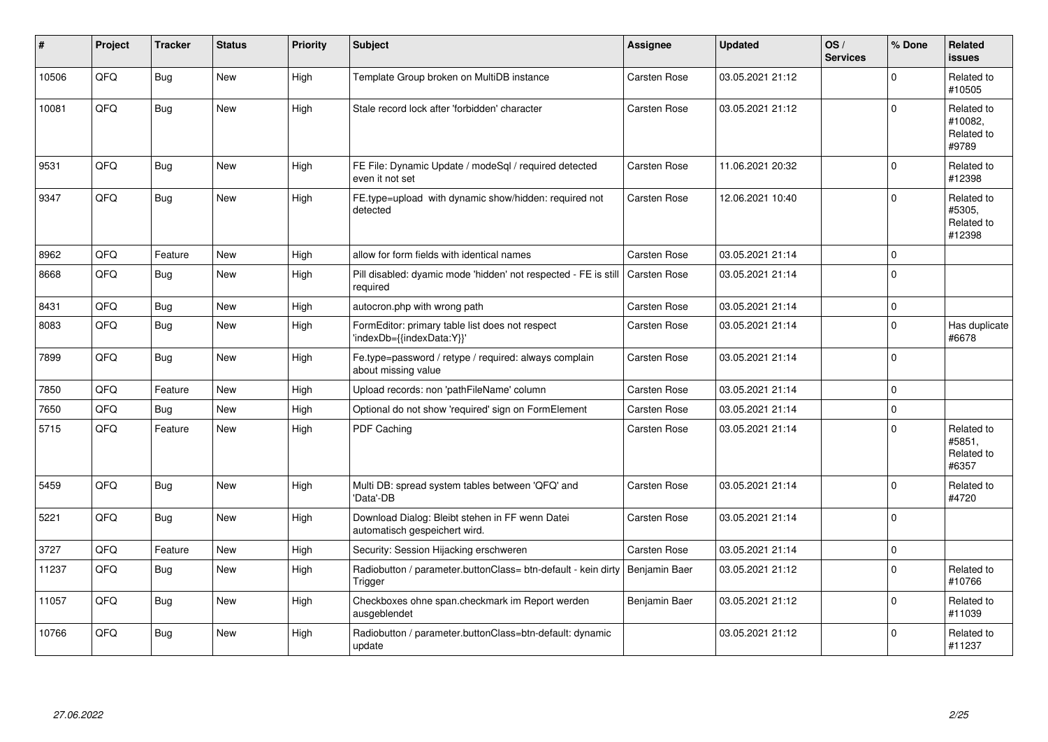| #     | Project | <b>Tracker</b> | <b>Status</b> | <b>Priority</b> | <b>Subject</b>                                                                           | <b>Assignee</b>     | <b>Updated</b>   | OS/<br><b>Services</b> | % Done      | <b>Related</b><br><b>issues</b>              |
|-------|---------|----------------|---------------|-----------------|------------------------------------------------------------------------------------------|---------------------|------------------|------------------------|-------------|----------------------------------------------|
| 10506 | QFQ     | <b>Bug</b>     | <b>New</b>    | High            | Template Group broken on MultiDB instance                                                | <b>Carsten Rose</b> | 03.05.2021 21:12 |                        | $\Omega$    | Related to<br>#10505                         |
| 10081 | QFQ     | Bug            | New           | High            | Stale record lock after 'forbidden' character                                            | Carsten Rose        | 03.05.2021 21:12 |                        | $\Omega$    | Related to<br>#10082,<br>Related to<br>#9789 |
| 9531  | QFQ     | Bug            | New           | High            | FE File: Dynamic Update / modeSgl / required detected<br>even it not set                 | <b>Carsten Rose</b> | 11.06.2021 20:32 |                        | $\Omega$    | Related to<br>#12398                         |
| 9347  | QFQ     | Bug            | <b>New</b>    | High            | FE.type=upload with dynamic show/hidden: required not<br>detected                        | Carsten Rose        | 12.06.2021 10:40 |                        | $\Omega$    | Related to<br>#5305.<br>Related to<br>#12398 |
| 8962  | QFQ     | Feature        | <b>New</b>    | High            | allow for form fields with identical names                                               | Carsten Rose        | 03.05.2021 21:14 |                        | $\mathbf 0$ |                                              |
| 8668  | QFQ     | <b>Bug</b>     | <b>New</b>    | High            | Pill disabled: dyamic mode 'hidden' not respected - FE is still Carsten Rose<br>required |                     | 03.05.2021 21:14 |                        | $\Omega$    |                                              |
| 8431  | QFQ     | Bug            | New           | High            | autocron.php with wrong path                                                             | Carsten Rose        | 03.05.2021 21:14 |                        | $\mathbf 0$ |                                              |
| 8083  | QFQ     | Bug            | New           | High            | FormEditor: primary table list does not respect<br>'indexDb={{indexData:Y}}'             | Carsten Rose        | 03.05.2021 21:14 |                        | $\Omega$    | Has duplicate<br>#6678                       |
| 7899  | QFQ     | Bug            | <b>New</b>    | High            | Fe.type=password / retype / required: always complain<br>about missing value             | <b>Carsten Rose</b> | 03.05.2021 21:14 |                        | $\Omega$    |                                              |
| 7850  | QFQ     | Feature        | New           | High            | Upload records: non 'pathFileName' column                                                | Carsten Rose        | 03.05.2021 21:14 |                        | $\mathbf 0$ |                                              |
| 7650  | QFQ     | Bug            | New           | High            | Optional do not show 'required' sign on FormElement                                      | Carsten Rose        | 03.05.2021 21:14 |                        | $\mathbf 0$ |                                              |
| 5715  | QFQ     | Feature        | New           | High            | PDF Caching                                                                              | <b>Carsten Rose</b> | 03.05.2021 21:14 |                        | $\mathbf 0$ | Related to<br>#5851,<br>Related to<br>#6357  |
| 5459  | QFQ     | Bug            | <b>New</b>    | High            | Multi DB: spread system tables between 'QFQ' and<br>'Data'-DB                            | Carsten Rose        | 03.05.2021 21:14 |                        | $\Omega$    | Related to<br>#4720                          |
| 5221  | QFQ     | <b>Bug</b>     | New           | High            | Download Dialog: Bleibt stehen in FF wenn Datei<br>automatisch gespeichert wird.         | <b>Carsten Rose</b> | 03.05.2021 21:14 |                        | $\Omega$    |                                              |
| 3727  | QFQ     | Feature        | <b>New</b>    | High            | Security: Session Hijacking erschweren                                                   | <b>Carsten Rose</b> | 03.05.2021 21:14 |                        | $\mathbf 0$ |                                              |
| 11237 | QFQ     | <b>Bug</b>     | New           | High            | Radiobutton / parameter.buttonClass= btn-default - kein dirty<br>Trigger                 | Benjamin Baer       | 03.05.2021 21:12 |                        | $\mathbf 0$ | Related to<br>#10766                         |
| 11057 | QFQ     | <b>Bug</b>     | New           | High            | Checkboxes ohne span.checkmark im Report werden<br>ausgeblendet                          | Benjamin Baer       | 03.05.2021 21:12 |                        | $\mathbf 0$ | Related to<br>#11039                         |
| 10766 | QFQ     | <b>Bug</b>     | <b>New</b>    | High            | Radiobutton / parameter.buttonClass=btn-default: dynamic<br>update                       |                     | 03.05.2021 21:12 |                        | $\Omega$    | Related to<br>#11237                         |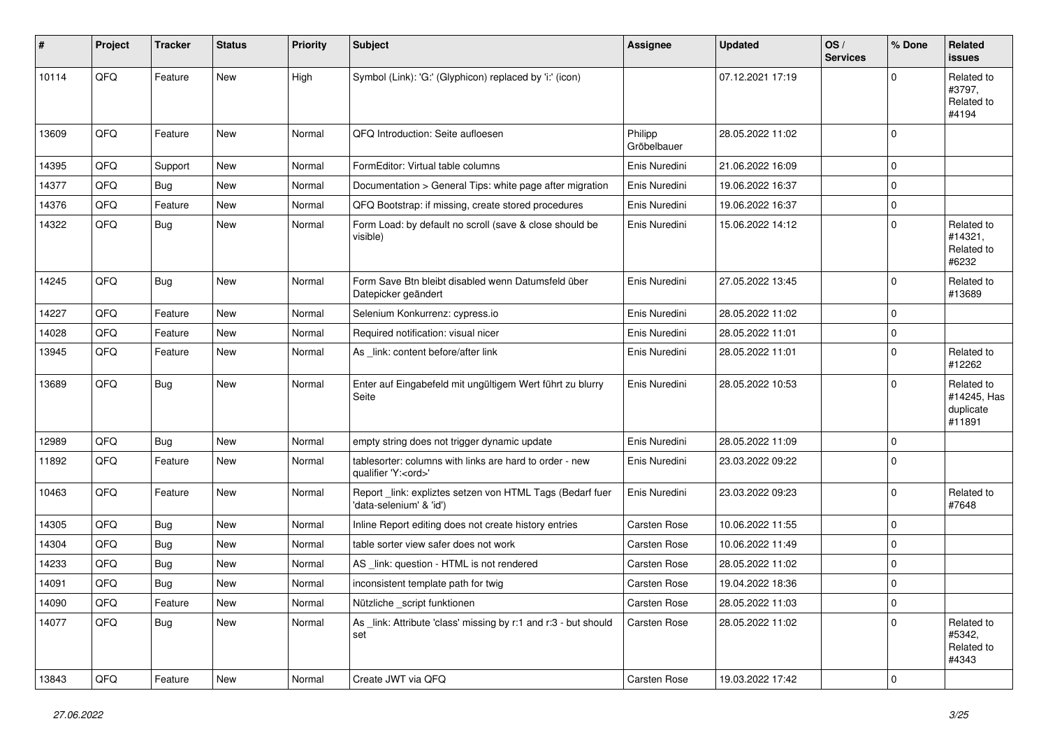| #     | Project | <b>Tracker</b> | <b>Status</b> | <b>Priority</b> | <b>Subject</b>                                                                        | <b>Assignee</b>        | <b>Updated</b>   | OS/<br><b>Services</b> | % Done         | Related<br><b>issues</b>                         |
|-------|---------|----------------|---------------|-----------------|---------------------------------------------------------------------------------------|------------------------|------------------|------------------------|----------------|--------------------------------------------------|
| 10114 | QFQ     | Feature        | New           | High            | Symbol (Link): 'G:' (Glyphicon) replaced by 'i:' (icon)                               |                        | 07.12.2021 17:19 |                        | $\Omega$       | Related to<br>#3797,<br>Related to<br>#4194      |
| 13609 | QFQ     | Feature        | New           | Normal          | QFQ Introduction: Seite aufloesen                                                     | Philipp<br>Gröbelbauer | 28.05.2022 11:02 |                        | $\mathbf 0$    |                                                  |
| 14395 | QFQ     | Support        | New           | Normal          | FormEditor: Virtual table columns                                                     | Enis Nuredini          | 21.06.2022 16:09 |                        | $\mathbf 0$    |                                                  |
| 14377 | QFQ     | Bug            | New           | Normal          | Documentation > General Tips: white page after migration                              | Enis Nuredini          | 19.06.2022 16:37 |                        | $\mathbf 0$    |                                                  |
| 14376 | QFQ     | Feature        | New           | Normal          | QFQ Bootstrap: if missing, create stored procedures                                   | Enis Nuredini          | 19.06.2022 16:37 |                        | $\mathbf 0$    |                                                  |
| 14322 | QFQ     | Bug            | New           | Normal          | Form Load: by default no scroll (save & close should be<br>visible)                   | Enis Nuredini          | 15.06.2022 14:12 |                        | $\mathbf 0$    | Related to<br>#14321,<br>Related to<br>#6232     |
| 14245 | QFQ     | Bug            | New           | Normal          | Form Save Btn bleibt disabled wenn Datumsfeld über<br>Datepicker geändert             | Enis Nuredini          | 27.05.2022 13:45 |                        | $\mathbf 0$    | Related to<br>#13689                             |
| 14227 | QFQ     | Feature        | New           | Normal          | Selenium Konkurrenz: cypress.io                                                       | Enis Nuredini          | 28.05.2022 11:02 |                        | $\mathbf 0$    |                                                  |
| 14028 | QFQ     | Feature        | New           | Normal          | Required notification: visual nicer                                                   | Enis Nuredini          | 28.05.2022 11:01 |                        | $\mathbf 0$    |                                                  |
| 13945 | QFQ     | Feature        | New           | Normal          | As _link: content before/after link                                                   | Enis Nuredini          | 28.05.2022 11:01 |                        | $\mathbf 0$    | Related to<br>#12262                             |
| 13689 | QFQ     | Bug            | New           | Normal          | Enter auf Eingabefeld mit ungültigem Wert führt zu blurry<br>Seite                    | Enis Nuredini          | 28.05.2022 10:53 |                        | $\Omega$       | Related to<br>#14245, Has<br>duplicate<br>#11891 |
| 12989 | QFQ     | Bug            | New           | Normal          | empty string does not trigger dynamic update                                          | Enis Nuredini          | 28.05.2022 11:09 |                        | 0              |                                                  |
| 11892 | QFQ     | Feature        | New           | Normal          | tablesorter: columns with links are hard to order - new<br>qualifier 'Y: <ord>'</ord> | Enis Nuredini          | 23.03.2022 09:22 |                        | $\mathbf 0$    |                                                  |
| 10463 | QFQ     | Feature        | New           | Normal          | Report_link: expliztes setzen von HTML Tags (Bedarf fuer<br>'data-selenium' & 'id')   | Enis Nuredini          | 23.03.2022 09:23 |                        | $\mathbf 0$    | Related to<br>#7648                              |
| 14305 | QFQ     | Bug            | New           | Normal          | Inline Report editing does not create history entries                                 | <b>Carsten Rose</b>    | 10.06.2022 11:55 |                        | $\mathbf 0$    |                                                  |
| 14304 | QFQ     | <b>Bug</b>     | New           | Normal          | table sorter view safer does not work                                                 | Carsten Rose           | 10.06.2022 11:49 |                        | $\mathbf 0$    |                                                  |
| 14233 | QFQ     | <b>Bug</b>     | New           | Normal          | AS _link: question - HTML is not rendered                                             | Carsten Rose           | 28.05.2022 11:02 |                        | $\mathbf 0$    |                                                  |
| 14091 | QFQ     | <b>Bug</b>     | New           | Normal          | inconsistent template path for twig                                                   | <b>Carsten Rose</b>    | 19.04.2022 18:36 |                        | 0              |                                                  |
| 14090 | QFQ     | Feature        | New           | Normal          | Nützliche _script funktionen                                                          | Carsten Rose           | 28.05.2022 11:03 |                        | 0              |                                                  |
| 14077 | QFQ     | Bug            | New           | Normal          | As _link: Attribute 'class' missing by r:1 and r:3 - but should<br>set                | Carsten Rose           | 28.05.2022 11:02 |                        | $\Omega$       | Related to<br>#5342,<br>Related to<br>#4343      |
| 13843 | QFQ     | Feature        | New           | Normal          | Create JWT via QFQ                                                                    | Carsten Rose           | 19.03.2022 17:42 |                        | $\overline{0}$ |                                                  |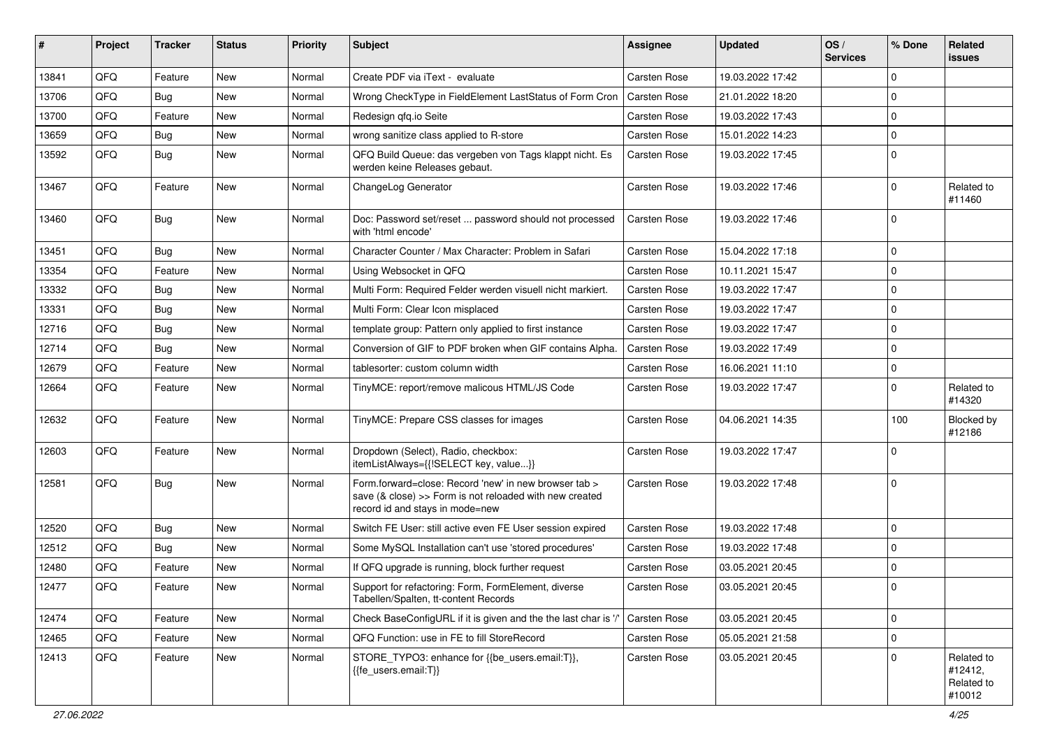| #     | Project | <b>Tracker</b> | <b>Status</b> | <b>Priority</b> | <b>Subject</b>                                                                                                                                      | Assignee            | <b>Updated</b>   | OS/<br><b>Services</b> | % Done      | Related<br><b>issues</b>                      |
|-------|---------|----------------|---------------|-----------------|-----------------------------------------------------------------------------------------------------------------------------------------------------|---------------------|------------------|------------------------|-------------|-----------------------------------------------|
| 13841 | QFQ     | Feature        | <b>New</b>    | Normal          | Create PDF via iText - evaluate                                                                                                                     | Carsten Rose        | 19.03.2022 17:42 |                        | $\Omega$    |                                               |
| 13706 | QFQ     | <b>Bug</b>     | New           | Normal          | Wrong CheckType in FieldElement LastStatus of Form Cron                                                                                             | Carsten Rose        | 21.01.2022 18:20 |                        | $\mathbf 0$ |                                               |
| 13700 | QFQ     | Feature        | New           | Normal          | Redesign qfq.io Seite                                                                                                                               | Carsten Rose        | 19.03.2022 17:43 |                        | $\Omega$    |                                               |
| 13659 | QFQ     | <b>Bug</b>     | <b>New</b>    | Normal          | wrong sanitize class applied to R-store                                                                                                             | Carsten Rose        | 15.01.2022 14:23 |                        | 0           |                                               |
| 13592 | QFQ     | <b>Bug</b>     | New           | Normal          | QFQ Build Queue: das vergeben von Tags klappt nicht. Es<br>werden keine Releases gebaut.                                                            | Carsten Rose        | 19.03.2022 17:45 |                        | $\mathbf 0$ |                                               |
| 13467 | QFQ     | Feature        | New           | Normal          | ChangeLog Generator                                                                                                                                 | Carsten Rose        | 19.03.2022 17:46 |                        | 0           | Related to<br>#11460                          |
| 13460 | QFQ     | Bug            | New           | Normal          | Doc: Password set/reset  password should not processed<br>with 'html encode'                                                                        | Carsten Rose        | 19.03.2022 17:46 |                        | $\Omega$    |                                               |
| 13451 | QFQ     | <b>Bug</b>     | <b>New</b>    | Normal          | Character Counter / Max Character: Problem in Safari                                                                                                | Carsten Rose        | 15.04.2022 17:18 |                        | $\Omega$    |                                               |
| 13354 | QFQ     | Feature        | New           | Normal          | Using Websocket in QFQ                                                                                                                              | <b>Carsten Rose</b> | 10.11.2021 15:47 |                        | 0           |                                               |
| 13332 | QFQ     | <b>Bug</b>     | New           | Normal          | Multi Form: Required Felder werden visuell nicht markiert.                                                                                          | <b>Carsten Rose</b> | 19.03.2022 17:47 |                        | $\mathbf 0$ |                                               |
| 13331 | QFQ     | Bug            | New           | Normal          | Multi Form: Clear Icon misplaced                                                                                                                    | <b>Carsten Rose</b> | 19.03.2022 17:47 |                        | $\mathbf 0$ |                                               |
| 12716 | QFQ     | <b>Bug</b>     | <b>New</b>    | Normal          | template group: Pattern only applied to first instance                                                                                              | Carsten Rose        | 19.03.2022 17:47 |                        | 0           |                                               |
| 12714 | QFQ     | <b>Bug</b>     | New           | Normal          | Conversion of GIF to PDF broken when GIF contains Alpha.                                                                                            | <b>Carsten Rose</b> | 19.03.2022 17:49 |                        | $\Omega$    |                                               |
| 12679 | QFQ     | Feature        | <b>New</b>    | Normal          | tablesorter: custom column width                                                                                                                    | Carsten Rose        | 16.06.2021 11:10 |                        | $\mathbf 0$ |                                               |
| 12664 | QFQ     | Feature        | New           | Normal          | TinyMCE: report/remove malicous HTML/JS Code                                                                                                        | Carsten Rose        | 19.03.2022 17:47 |                        | $\mathbf 0$ | Related to<br>#14320                          |
| 12632 | QFQ     | Feature        | <b>New</b>    | Normal          | TinyMCE: Prepare CSS classes for images                                                                                                             | Carsten Rose        | 04.06.2021 14:35 |                        | 100         | Blocked by<br>#12186                          |
| 12603 | QFQ     | Feature        | New           | Normal          | Dropdown (Select), Radio, checkbox:<br>itemListAlways={{!SELECT key, value}}                                                                        | Carsten Rose        | 19.03.2022 17:47 |                        | $\mathbf 0$ |                                               |
| 12581 | QFQ     | <b>Bug</b>     | <b>New</b>    | Normal          | Form.forward=close: Record 'new' in new browser tab ><br>save (& close) >> Form is not reloaded with new created<br>record id and stays in mode=new | <b>Carsten Rose</b> | 19.03.2022 17:48 |                        | 0           |                                               |
| 12520 | QFQ     | <b>Bug</b>     | <b>New</b>    | Normal          | Switch FE User: still active even FE User session expired                                                                                           | Carsten Rose        | 19.03.2022 17:48 |                        | $\Omega$    |                                               |
| 12512 | QFQ     | <b>Bug</b>     | <b>New</b>    | Normal          | Some MySQL Installation can't use 'stored procedures'                                                                                               | Carsten Rose        | 19.03.2022 17:48 |                        | $\Omega$    |                                               |
| 12480 | QFQ     | Feature        | New           | Normal          | If QFQ upgrade is running, block further request                                                                                                    | Carsten Rose        | 03.05.2021 20:45 |                        | $\mathbf 0$ |                                               |
| 12477 | QFQ     | Feature        | New           | Normal          | Support for refactoring: Form, FormElement, diverse<br>Tabellen/Spalten, tt-content Records                                                         | Carsten Rose        | 03.05.2021 20:45 |                        | $\mathbf 0$ |                                               |
| 12474 | QFQ     | Feature        | New           | Normal          | Check BaseConfigURL if it is given and the the last char is '/'                                                                                     | <b>Carsten Rose</b> | 03.05.2021 20:45 |                        | 0           |                                               |
| 12465 | QFQ     | Feature        | New           | Normal          | QFQ Function: use in FE to fill StoreRecord                                                                                                         | Carsten Rose        | 05.05.2021 21:58 |                        | 0           |                                               |
| 12413 | QFQ     | Feature        | New           | Normal          | STORE TYPO3: enhance for {{be users.email:T}},<br>{{fe users.email:T}}                                                                              | Carsten Rose        | 03.05.2021 20:45 |                        | 0           | Related to<br>#12412,<br>Related to<br>#10012 |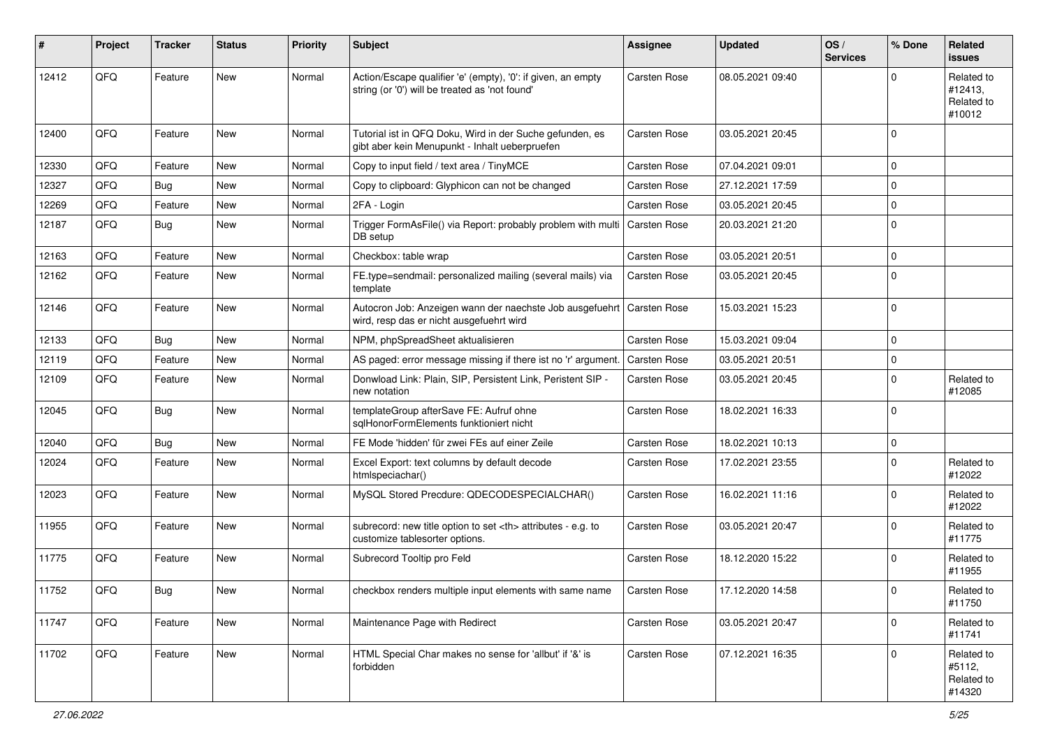| #     | Project        | <b>Tracker</b> | <b>Status</b> | <b>Priority</b> | <b>Subject</b>                                                                                                 | Assignee                                               | <b>Updated</b>   | OS/<br><b>Services</b> | % Done      | Related<br><b>issues</b>                      |                      |
|-------|----------------|----------------|---------------|-----------------|----------------------------------------------------------------------------------------------------------------|--------------------------------------------------------|------------------|------------------------|-------------|-----------------------------------------------|----------------------|
| 12412 | QFQ            | Feature        | <b>New</b>    | Normal          | Action/Escape qualifier 'e' (empty), '0': if given, an empty<br>string (or '0') will be treated as 'not found' | <b>Carsten Rose</b>                                    | 08.05.2021 09:40 |                        | $\Omega$    | Related to<br>#12413,<br>Related to<br>#10012 |                      |
| 12400 | QFQ            | Feature        | <b>New</b>    | Normal          | Tutorial ist in QFQ Doku, Wird in der Suche gefunden, es<br>gibt aber kein Menupunkt - Inhalt ueberpruefen     | Carsten Rose                                           | 03.05.2021 20:45 |                        | $\Omega$    |                                               |                      |
| 12330 | QFQ            | Feature        | <b>New</b>    | Normal          | Copy to input field / text area / TinyMCE                                                                      | Carsten Rose                                           | 07.04.2021 09:01 |                        | 0           |                                               |                      |
| 12327 | QFQ            | <b>Bug</b>     | New           | Normal          | Copy to clipboard: Glyphicon can not be changed                                                                | Carsten Rose                                           | 27.12.2021 17:59 |                        | $\mathbf 0$ |                                               |                      |
| 12269 | QFQ            | Feature        | New           | Normal          | 2FA - Login                                                                                                    | Carsten Rose                                           | 03.05.2021 20:45 |                        | $\Omega$    |                                               |                      |
| 12187 | QFQ            | <b>Bug</b>     | New           | Normal          | Trigger FormAsFile() via Report: probably problem with multi<br>DB setup                                       | <b>Carsten Rose</b>                                    | 20.03.2021 21:20 |                        | 0           |                                               |                      |
| 12163 | QFQ            | Feature        | <b>New</b>    | Normal          | Checkbox: table wrap                                                                                           | <b>Carsten Rose</b>                                    | 03.05.2021 20:51 |                        | $\mathbf 0$ |                                               |                      |
| 12162 | QFQ            | Feature        | New           | Normal          | FE.type=sendmail: personalized mailing (several mails) via<br>template                                         | Carsten Rose                                           | 03.05.2021 20:45 |                        | $\mathbf 0$ |                                               |                      |
| 12146 | QFQ            | Feature        | <b>New</b>    | Normal          | Autocron Job: Anzeigen wann der naechste Job ausgefuehrt<br>wird, resp das er nicht ausgefuehrt wird           | <b>Carsten Rose</b>                                    | 15.03.2021 15:23 |                        | $\Omega$    |                                               |                      |
| 12133 | QFQ            | <b>Bug</b>     | <b>New</b>    | Normal          | NPM, phpSpreadSheet aktualisieren                                                                              | Carsten Rose                                           | 15.03.2021 09:04 |                        | $\Omega$    |                                               |                      |
| 12119 | QFQ            | Feature        | New           | Normal          | AS paged: error message missing if there ist no 'r' argument.                                                  | <b>Carsten Rose</b>                                    | 03.05.2021 20:51 |                        | 0           |                                               |                      |
| 12109 | QFQ            | Feature        | New           | Normal          | Donwload Link: Plain, SIP, Persistent Link, Peristent SIP -<br>new notation                                    | Carsten Rose                                           | 03.05.2021 20:45 |                        | $\Omega$    | Related to<br>#12085                          |                      |
| 12045 | QFQ            | <b>Bug</b>     | New           | Normal          | templateGroup afterSave FE: Aufruf ohne<br>sqlHonorFormElements funktioniert nicht                             | Carsten Rose                                           | 18.02.2021 16:33 |                        | $\Omega$    |                                               |                      |
| 12040 | QFQ            | <b>Bug</b>     | New           | Normal          | FE Mode 'hidden' für zwei FEs auf einer Zeile                                                                  | Carsten Rose                                           | 18.02.2021 10:13 |                        | 0           |                                               |                      |
| 12024 | QFQ            | Feature        | New           | Normal          | Excel Export: text columns by default decode<br>htmlspeciachar()                                               | <b>Carsten Rose</b>                                    | 17.02.2021 23:55 |                        | $\Omega$    | Related to<br>#12022                          |                      |
| 12023 | QFQ            | Feature        | <b>New</b>    | Normal          | MySQL Stored Precdure: QDECODESPECIALCHAR()                                                                    | <b>Carsten Rose</b>                                    | 16.02.2021 11:16 |                        | $\Omega$    | Related to<br>#12022                          |                      |
| 11955 | QFQ            | Feature        | <b>New</b>    | Normal          | subrecord: new title option to set <th> attributes - e.g. to<br/>customize tablesorter options.</th>           | attributes - e.g. to<br>customize tablesorter options. | Carsten Rose     | 03.05.2021 20:47       |             | $\Omega$                                      | Related to<br>#11775 |
| 11775 | QFQ            | Feature        | New           | Normal          | Subrecord Tooltip pro Feld                                                                                     | Carsten Rose                                           | 18.12.2020 15:22 |                        | 0           | Related to<br>#11955                          |                      |
| 11752 | $\mathsf{QFQ}$ | Bug            | New           | Normal          | checkbox renders multiple input elements with same name                                                        | Carsten Rose                                           | 17.12.2020 14:58 |                        | $\mathbf 0$ | Related to<br>#11750                          |                      |
| 11747 | QFQ            | Feature        | New           | Normal          | Maintenance Page with Redirect                                                                                 | Carsten Rose                                           | 03.05.2021 20:47 |                        | 0           | Related to<br>#11741                          |                      |
| 11702 | QFQ            | Feature        | New           | Normal          | HTML Special Char makes no sense for 'allbut' if '&' is<br>forbidden                                           | Carsten Rose                                           | 07.12.2021 16:35 |                        | 0           | Related to<br>#5112,<br>Related to<br>#14320  |                      |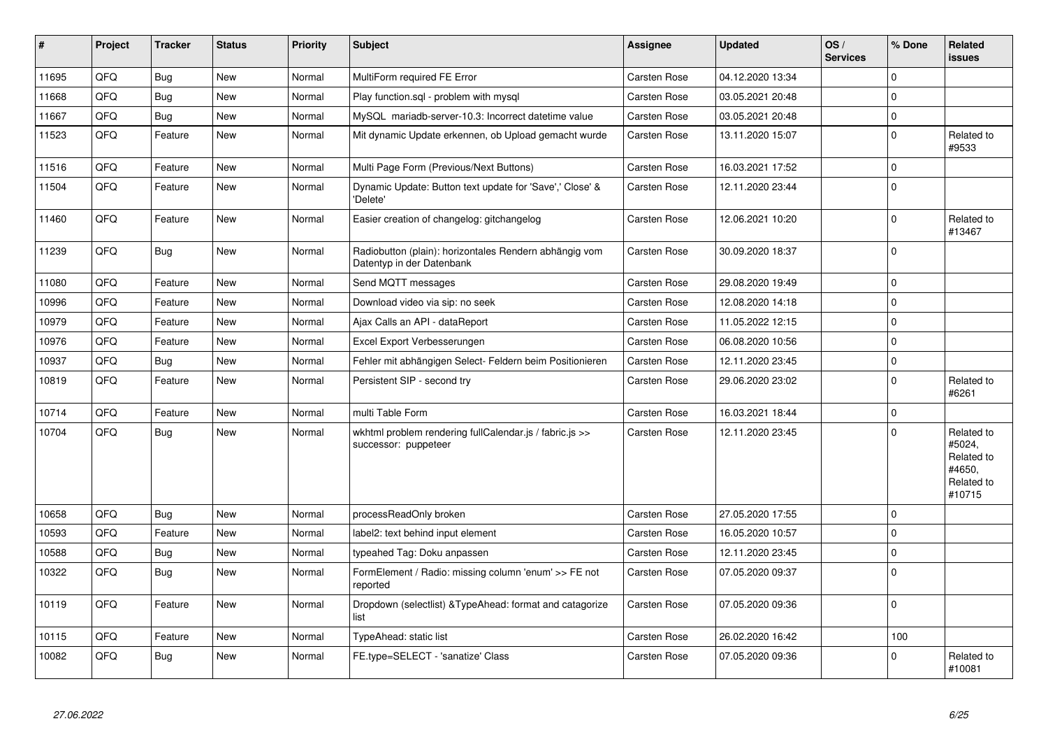| $\vert$ # | Project | <b>Tracker</b> | <b>Status</b> | <b>Priority</b> | <b>Subject</b>                                                                      | <b>Assignee</b>     | <b>Updated</b>   | OS/<br><b>Services</b> | % Done      | Related<br><b>issues</b>                                             |
|-----------|---------|----------------|---------------|-----------------|-------------------------------------------------------------------------------------|---------------------|------------------|------------------------|-------------|----------------------------------------------------------------------|
| 11695     | QFQ     | Bug            | <b>New</b>    | Normal          | MultiForm required FE Error                                                         | <b>Carsten Rose</b> | 04.12.2020 13:34 |                        | $\mathbf 0$ |                                                                      |
| 11668     | QFQ     | <b>Bug</b>     | New           | Normal          | Play function.sql - problem with mysql                                              | Carsten Rose        | 03.05.2021 20:48 |                        | $\Omega$    |                                                                      |
| 11667     | QFQ     | <b>Bug</b>     | New           | Normal          | MySQL mariadb-server-10.3: Incorrect datetime value                                 | <b>Carsten Rose</b> | 03.05.2021 20:48 |                        | $\pmb{0}$   |                                                                      |
| 11523     | QFQ     | Feature        | New           | Normal          | Mit dynamic Update erkennen, ob Upload gemacht wurde                                | Carsten Rose        | 13.11.2020 15:07 |                        | $\Omega$    | Related to<br>#9533                                                  |
| 11516     | QFQ     | Feature        | New           | Normal          | Multi Page Form (Previous/Next Buttons)                                             | Carsten Rose        | 16.03.2021 17:52 |                        | $\pmb{0}$   |                                                                      |
| 11504     | QFQ     | Feature        | New           | Normal          | Dynamic Update: Button text update for 'Save',' Close' &<br>'Delete'                | Carsten Rose        | 12.11.2020 23:44 |                        | $\Omega$    |                                                                      |
| 11460     | QFQ     | Feature        | New           | Normal          | Easier creation of changelog: gitchangelog                                          | Carsten Rose        | 12.06.2021 10:20 |                        | $\Omega$    | Related to<br>#13467                                                 |
| 11239     | QFQ     | Bug            | <b>New</b>    | Normal          | Radiobutton (plain): horizontales Rendern abhängig vom<br>Datentyp in der Datenbank | <b>Carsten Rose</b> | 30.09.2020 18:37 |                        | $\Omega$    |                                                                      |
| 11080     | QFQ     | Feature        | <b>New</b>    | Normal          | Send MQTT messages                                                                  | Carsten Rose        | 29.08.2020 19:49 |                        | $\Omega$    |                                                                      |
| 10996     | QFQ     | Feature        | New           | Normal          | Download video via sip: no seek                                                     | <b>Carsten Rose</b> | 12.08.2020 14:18 |                        | $\Omega$    |                                                                      |
| 10979     | QFQ     | Feature        | <b>New</b>    | Normal          | Ajax Calls an API - dataReport                                                      | <b>Carsten Rose</b> | 11.05.2022 12:15 |                        | $\Omega$    |                                                                      |
| 10976     | QFQ     | Feature        | New           | Normal          | Excel Export Verbesserungen                                                         | <b>Carsten Rose</b> | 06.08.2020 10:56 |                        | $\Omega$    |                                                                      |
| 10937     | QFQ     | <b>Bug</b>     | New           | Normal          | Fehler mit abhängigen Select- Feldern beim Positionieren                            | Carsten Rose        | 12.11.2020 23:45 |                        | $\Omega$    |                                                                      |
| 10819     | QFQ     | Feature        | New           | Normal          | Persistent SIP - second try                                                         | Carsten Rose        | 29.06.2020 23:02 |                        | $\Omega$    | Related to<br>#6261                                                  |
| 10714     | QFQ     | Feature        | <b>New</b>    | Normal          | multi Table Form                                                                    | <b>Carsten Rose</b> | 16.03.2021 18:44 |                        | $\Omega$    |                                                                      |
| 10704     | QFQ     | <b>Bug</b>     | New           | Normal          | wkhtml problem rendering fullCalendar.js / fabric.js >><br>successor: puppeteer     | Carsten Rose        | 12.11.2020 23:45 |                        | $\Omega$    | Related to<br>#5024.<br>Related to<br>#4650.<br>Related to<br>#10715 |
| 10658     | QFQ     | Bug            | <b>New</b>    | Normal          | processReadOnly broken                                                              | <b>Carsten Rose</b> | 27.05.2020 17:55 |                        | $\Omega$    |                                                                      |
| 10593     | QFQ     | Feature        | New           | Normal          | label2: text behind input element                                                   | <b>Carsten Rose</b> | 16.05.2020 10:57 |                        | $\Omega$    |                                                                      |
| 10588     | QFQ     | <b>Bug</b>     | New           | Normal          | typeahed Tag: Doku anpassen                                                         | Carsten Rose        | 12.11.2020 23:45 |                        | $\Omega$    |                                                                      |
| 10322     | QFQ     | <b>Bug</b>     | New           | Normal          | FormElement / Radio: missing column 'enum' >> FE not<br>reported                    | <b>Carsten Rose</b> | 07.05.2020 09:37 |                        | $\Omega$    |                                                                      |
| 10119     | QFQ     | Feature        | New           | Normal          | Dropdown (selectlist) & TypeAhead: format and catagorize<br>list                    | Carsten Rose        | 07.05.2020 09:36 |                        | $\Omega$    |                                                                      |
| 10115     | QFQ     | Feature        | <b>New</b>    | Normal          | TypeAhead: static list                                                              | Carsten Rose        | 26.02.2020 16:42 |                        | 100         |                                                                      |
| 10082     | QFQ     | Bug            | New           | Normal          | FE.type=SELECT - 'sanatize' Class                                                   | Carsten Rose        | 07.05.2020 09:36 |                        | $\Omega$    | Related to<br>#10081                                                 |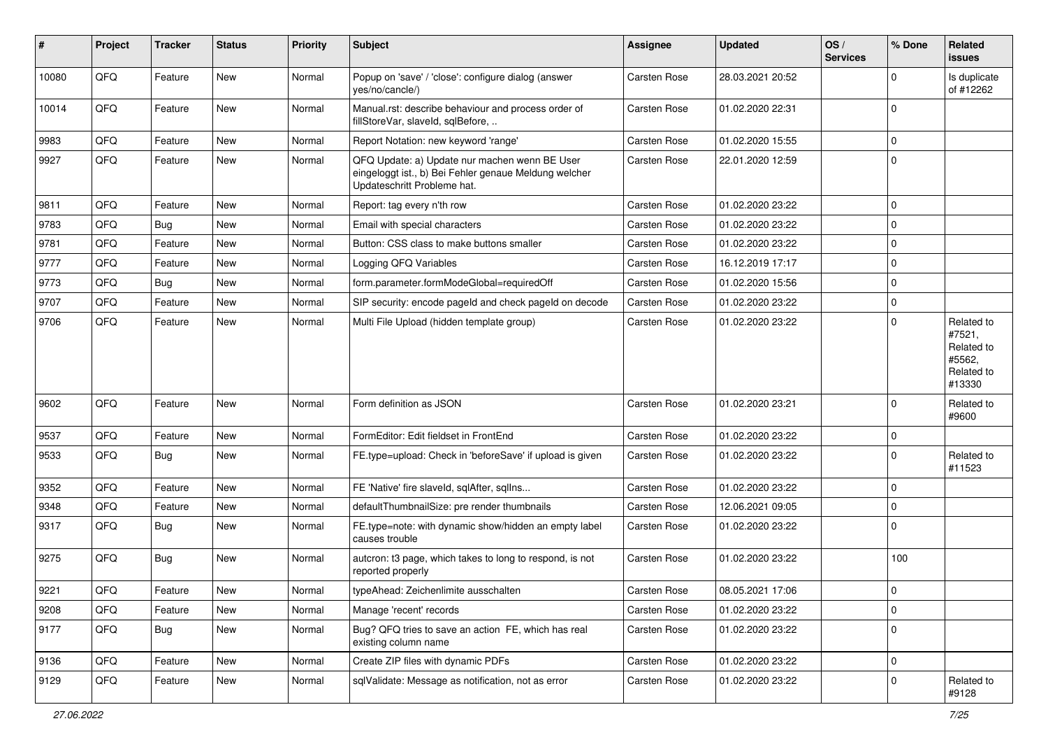| ∦     | Project | <b>Tracker</b> | <b>Status</b> | <b>Priority</b> | <b>Subject</b>                                                                                                                        | <b>Assignee</b>     | <b>Updated</b>   | OS/<br><b>Services</b> | % Done      | Related<br>issues                                                    |
|-------|---------|----------------|---------------|-----------------|---------------------------------------------------------------------------------------------------------------------------------------|---------------------|------------------|------------------------|-------------|----------------------------------------------------------------------|
| 10080 | QFQ     | Feature        | <b>New</b>    | Normal          | Popup on 'save' / 'close': configure dialog (answer<br>yes/no/cancle/)                                                                | <b>Carsten Rose</b> | 28.03.2021 20:52 |                        | 0           | Is duplicate<br>of #12262                                            |
| 10014 | QFQ     | Feature        | New           | Normal          | Manual.rst: describe behaviour and process order of<br>fillStoreVar, slaveId, sqlBefore,                                              | <b>Carsten Rose</b> | 01.02.2020 22:31 |                        | $\Omega$    |                                                                      |
| 9983  | QFQ     | Feature        | New           | Normal          | Report Notation: new keyword 'range'                                                                                                  | Carsten Rose        | 01.02.2020 15:55 |                        | $\mathbf 0$ |                                                                      |
| 9927  | QFQ     | Feature        | New           | Normal          | QFQ Update: a) Update nur machen wenn BE User<br>eingeloggt ist., b) Bei Fehler genaue Meldung welcher<br>Updateschritt Probleme hat. | Carsten Rose        | 22.01.2020 12:59 |                        | $\Omega$    |                                                                      |
| 9811  | QFQ     | Feature        | <b>New</b>    | Normal          | Report: tag every n'th row                                                                                                            | Carsten Rose        | 01.02.2020 23:22 |                        | $\pmb{0}$   |                                                                      |
| 9783  | QFQ     | Bug            | New           | Normal          | Email with special characters                                                                                                         | <b>Carsten Rose</b> | 01.02.2020 23:22 |                        | $\mathbf 0$ |                                                                      |
| 9781  | QFQ     | Feature        | <b>New</b>    | Normal          | Button: CSS class to make buttons smaller                                                                                             | <b>Carsten Rose</b> | 01.02.2020 23:22 |                        | $\mathbf 0$ |                                                                      |
| 9777  | QFQ     | Feature        | <b>New</b>    | Normal          | Logging QFQ Variables                                                                                                                 | <b>Carsten Rose</b> | 16.12.2019 17:17 |                        | 0           |                                                                      |
| 9773  | QFQ     | <b>Bug</b>     | New           | Normal          | form.parameter.formModeGlobal=requiredOff                                                                                             | <b>Carsten Rose</b> | 01.02.2020 15:56 |                        | $\mathbf 0$ |                                                                      |
| 9707  | QFQ     | Feature        | <b>New</b>    | Normal          | SIP security: encode pageId and check pageId on decode                                                                                | <b>Carsten Rose</b> | 01.02.2020 23:22 |                        | $\pmb{0}$   |                                                                      |
| 9706  | QFQ     | Feature        | New           | Normal          | Multi File Upload (hidden template group)                                                                                             | Carsten Rose        | 01.02.2020 23:22 |                        | $\mathbf 0$ | Related to<br>#7521,<br>Related to<br>#5562,<br>Related to<br>#13330 |
| 9602  | QFQ     | Feature        | New           | Normal          | Form definition as JSON                                                                                                               | <b>Carsten Rose</b> | 01.02.2020 23:21 |                        | $\mathbf 0$ | Related to<br>#9600                                                  |
| 9537  | QFQ     | Feature        | <b>New</b>    | Normal          | FormEditor: Edit fieldset in FrontEnd                                                                                                 | <b>Carsten Rose</b> | 01.02.2020 23:22 |                        | $\mathbf 0$ |                                                                      |
| 9533  | QFQ     | <b>Bug</b>     | New           | Normal          | FE.type=upload: Check in 'beforeSave' if upload is given                                                                              | Carsten Rose        | 01.02.2020 23:22 |                        | $\mathbf 0$ | Related to<br>#11523                                                 |
| 9352  | QFQ     | Feature        | <b>New</b>    | Normal          | FE 'Native' fire slaveld, sqlAfter, sqlIns                                                                                            | <b>Carsten Rose</b> | 01.02.2020 23:22 |                        | 0           |                                                                      |
| 9348  | QFQ     | Feature        | New           | Normal          | defaultThumbnailSize: pre render thumbnails                                                                                           | <b>Carsten Rose</b> | 12.06.2021 09:05 |                        | $\mathbf 0$ |                                                                      |
| 9317  | QFQ     | Bug            | New           | Normal          | FE.type=note: with dynamic show/hidden an empty label<br>causes trouble                                                               | <b>Carsten Rose</b> | 01.02.2020 23:22 |                        | $\Omega$    |                                                                      |
| 9275  | QFQ     | Bug            | <b>New</b>    | Normal          | autcron: t3 page, which takes to long to respond, is not<br>reported properly                                                         | <b>Carsten Rose</b> | 01.02.2020 23:22 |                        | 100         |                                                                      |
| 9221  | QFQ     | Feature        | New           | Normal          | typeAhead: Zeichenlimite ausschalten                                                                                                  | <b>Carsten Rose</b> | 08.05.2021 17:06 |                        | $\pmb{0}$   |                                                                      |
| 9208  | QFQ     | Feature        | New           | Normal          | Manage 'recent' records                                                                                                               | Carsten Rose        | 01.02.2020 23:22 |                        | $\mathbf 0$ |                                                                      |
| 9177  | QFQ     | <b>Bug</b>     | New           | Normal          | Bug? QFQ tries to save an action FE, which has real<br>existing column name                                                           | Carsten Rose        | 01.02.2020 23:22 |                        | $\mathbf 0$ |                                                                      |
| 9136  | QFQ     | Feature        | New           | Normal          | Create ZIP files with dynamic PDFs                                                                                                    | Carsten Rose        | 01.02.2020 23:22 |                        | $\pmb{0}$   |                                                                      |
| 9129  | QFQ     | Feature        | New           | Normal          | sqlValidate: Message as notification, not as error                                                                                    | Carsten Rose        | 01.02.2020 23:22 |                        | 0           | Related to<br>#9128                                                  |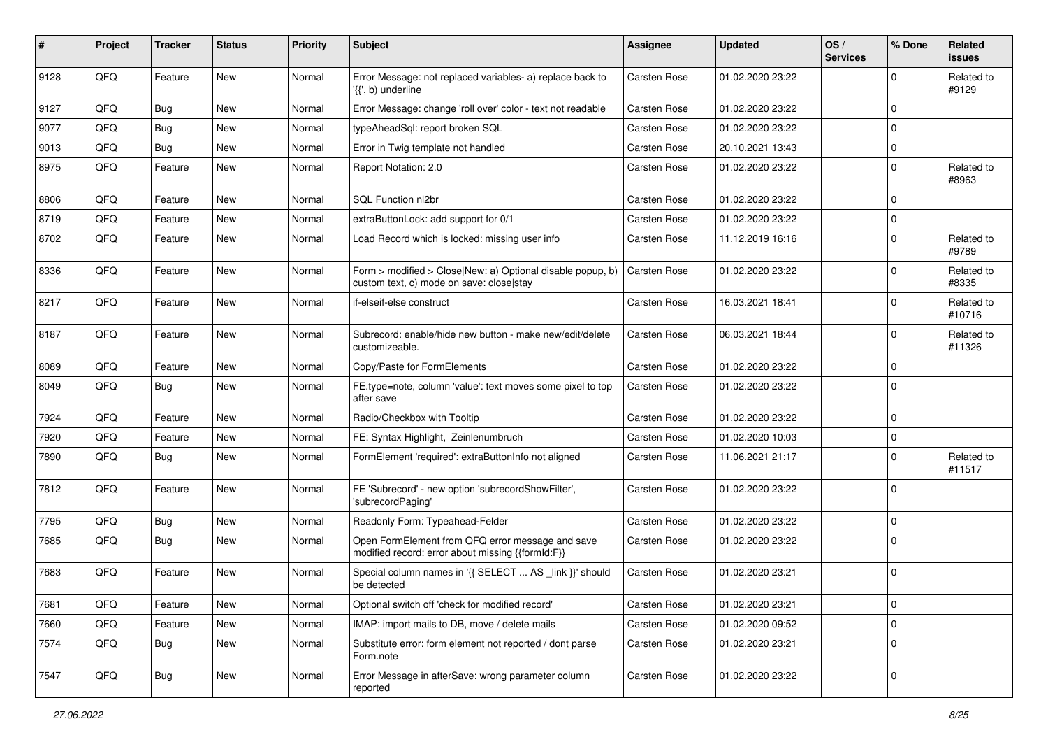| #    | Project | <b>Tracker</b> | <b>Status</b> | <b>Priority</b> | <b>Subject</b>                                                                                         | <b>Assignee</b>     | <b>Updated</b>   | OS/<br><b>Services</b> | % Done      | Related<br>issues    |
|------|---------|----------------|---------------|-----------------|--------------------------------------------------------------------------------------------------------|---------------------|------------------|------------------------|-------------|----------------------|
| 9128 | QFQ     | Feature        | <b>New</b>    | Normal          | Error Message: not replaced variables- a) replace back to<br>'{{', b) underline                        | <b>Carsten Rose</b> | 01.02.2020 23:22 |                        | 0           | Related to<br>#9129  |
| 9127 | QFQ     | Bug            | <b>New</b>    | Normal          | Error Message: change 'roll over' color - text not readable                                            | <b>Carsten Rose</b> | 01.02.2020 23:22 |                        | $\mathbf 0$ |                      |
| 9077 | QFQ     | Bug            | <b>New</b>    | Normal          | typeAheadSql: report broken SQL                                                                        | Carsten Rose        | 01.02.2020 23:22 |                        | 0           |                      |
| 9013 | QFQ     | <b>Bug</b>     | New           | Normal          | Error in Twig template not handled                                                                     | Carsten Rose        | 20.10.2021 13:43 |                        | 0           |                      |
| 8975 | QFQ     | Feature        | New           | Normal          | Report Notation: 2.0                                                                                   | <b>Carsten Rose</b> | 01.02.2020 23:22 |                        | $\mathbf 0$ | Related to<br>#8963  |
| 8806 | QFQ     | Feature        | New           | Normal          | <b>SQL Function nl2br</b>                                                                              | Carsten Rose        | 01.02.2020 23:22 |                        | 0           |                      |
| 8719 | QFQ     | Feature        | <b>New</b>    | Normal          | extraButtonLock: add support for 0/1                                                                   | <b>Carsten Rose</b> | 01.02.2020 23:22 |                        | $\mathbf 0$ |                      |
| 8702 | QFQ     | Feature        | New           | Normal          | Load Record which is locked: missing user info                                                         | Carsten Rose        | 11.12.2019 16:16 |                        | $\mathbf 0$ | Related to<br>#9789  |
| 8336 | QFQ     | Feature        | <b>New</b>    | Normal          | Form > modified > Close New: a) Optional disable popup, b)<br>custom text, c) mode on save: close stay | <b>Carsten Rose</b> | 01.02.2020 23:22 |                        | 0           | Related to<br>#8335  |
| 8217 | QFQ     | Feature        | New           | Normal          | if-elseif-else construct                                                                               | <b>Carsten Rose</b> | 16.03.2021 18:41 |                        | $\mathbf 0$ | Related to<br>#10716 |
| 8187 | QFQ     | Feature        | New           | Normal          | Subrecord: enable/hide new button - make new/edit/delete<br>customizeable.                             | <b>Carsten Rose</b> | 06.03.2021 18:44 |                        | 0           | Related to<br>#11326 |
| 8089 | QFQ     | Feature        | New           | Normal          | Copy/Paste for FormElements                                                                            | Carsten Rose        | 01.02.2020 23:22 |                        | $\mathbf 0$ |                      |
| 8049 | QFQ     | Bug            | New           | Normal          | FE.type=note, column 'value': text moves some pixel to top<br>after save                               | <b>Carsten Rose</b> | 01.02.2020 23:22 |                        | $\Omega$    |                      |
| 7924 | QFQ     | Feature        | New           | Normal          | Radio/Checkbox with Tooltip                                                                            | Carsten Rose        | 01.02.2020 23:22 |                        | 0           |                      |
| 7920 | QFQ     | Feature        | <b>New</b>    | Normal          | FE: Syntax Highlight, Zeinlenumbruch                                                                   | <b>Carsten Rose</b> | 01.02.2020 10:03 |                        | $\mathbf 0$ |                      |
| 7890 | QFQ     | <b>Bug</b>     | <b>New</b>    | Normal          | FormElement 'required': extraButtonInfo not aligned                                                    | Carsten Rose        | 11.06.2021 21:17 |                        | $\Omega$    | Related to<br>#11517 |
| 7812 | QFQ     | Feature        | <b>New</b>    | Normal          | FE 'Subrecord' - new option 'subrecordShowFilter',<br>'subrecordPaging'                                | <b>Carsten Rose</b> | 01.02.2020 23:22 |                        | $\mathbf 0$ |                      |
| 7795 | QFQ     | Bug            | <b>New</b>    | Normal          | Readonly Form: Typeahead-Felder                                                                        | <b>Carsten Rose</b> | 01.02.2020 23:22 |                        | 0           |                      |
| 7685 | QFQ     | Bug            | New           | Normal          | Open FormElement from QFQ error message and save<br>modified record: error about missing {{formId:F}}  | <b>Carsten Rose</b> | 01.02.2020 23:22 |                        | $\mathbf 0$ |                      |
| 7683 | QFQ     | Feature        | New           | Normal          | Special column names in '{{ SELECT  AS _link }}' should<br>be detected                                 | <b>Carsten Rose</b> | 01.02.2020 23:21 |                        | $\mathbf 0$ |                      |
| 7681 | QFQ     | Feature        | New           | Normal          | Optional switch off 'check for modified record'                                                        | Carsten Rose        | 01.02.2020 23:21 |                        | $\mathbf 0$ |                      |
| 7660 | QFQ     | Feature        | New           | Normal          | IMAP: import mails to DB, move / delete mails                                                          | Carsten Rose        | 01.02.2020 09:52 |                        | $\pmb{0}$   |                      |
| 7574 | QFQ     | <b>Bug</b>     | New           | Normal          | Substitute error: form element not reported / dont parse<br>Form.note                                  | Carsten Rose        | 01.02.2020 23:21 |                        | $\pmb{0}$   |                      |
| 7547 | QFG     | <b>Bug</b>     | New           | Normal          | Error Message in afterSave: wrong parameter column<br>reported                                         | Carsten Rose        | 01.02.2020 23:22 |                        | 0           |                      |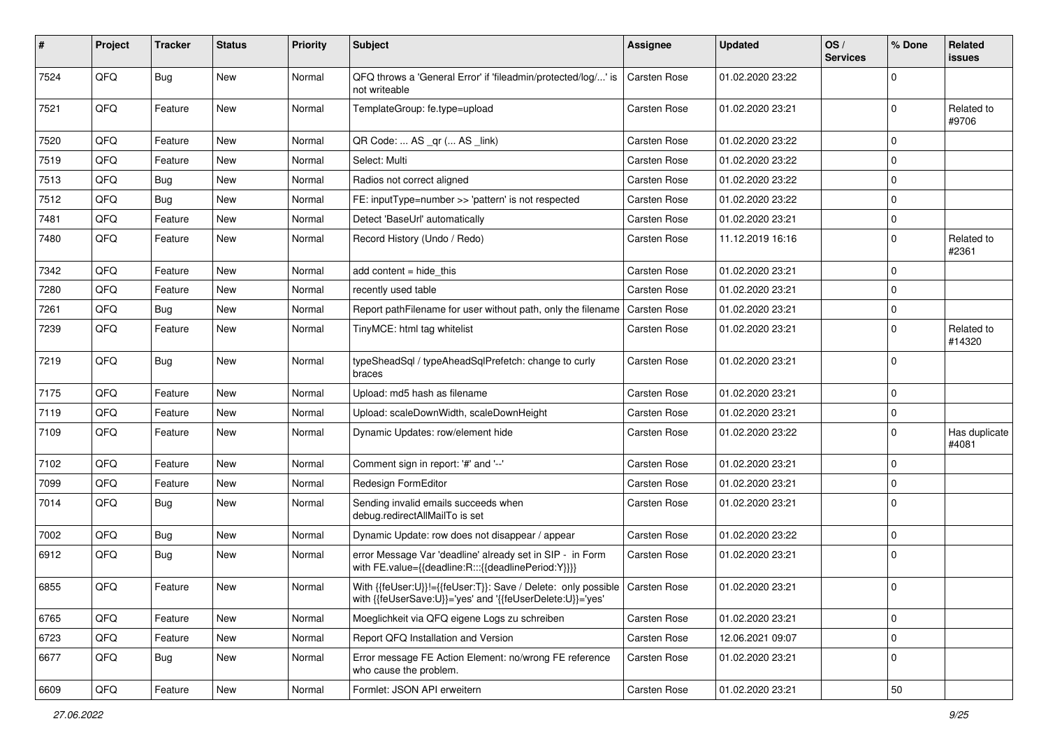| #    | Project | <b>Tracker</b> | <b>Status</b> | <b>Priority</b> | <b>Subject</b>                                                                                                                            | <b>Assignee</b>     | <b>Updated</b>   | OS/<br><b>Services</b> | % Done      | Related<br>issues      |
|------|---------|----------------|---------------|-----------------|-------------------------------------------------------------------------------------------------------------------------------------------|---------------------|------------------|------------------------|-------------|------------------------|
| 7524 | QFQ     | Bug            | New           | Normal          | QFQ throws a 'General Error' if 'fileadmin/protected/log/' is<br>not writeable                                                            | <b>Carsten Rose</b> | 01.02.2020 23:22 |                        | $\mathbf 0$ |                        |
| 7521 | QFQ     | Feature        | New           | Normal          | TemplateGroup: fe.type=upload                                                                                                             | Carsten Rose        | 01.02.2020 23:21 |                        | $\mathbf 0$ | Related to<br>#9706    |
| 7520 | QFQ     | Feature        | New           | Normal          | QR Code:  AS _qr ( AS _link)                                                                                                              | Carsten Rose        | 01.02.2020 23:22 |                        | $\mathbf 0$ |                        |
| 7519 | QFQ     | Feature        | New           | Normal          | Select: Multi                                                                                                                             | Carsten Rose        | 01.02.2020 23:22 |                        | $\mathbf 0$ |                        |
| 7513 | QFQ     | <b>Bug</b>     | New           | Normal          | Radios not correct aligned                                                                                                                | Carsten Rose        | 01.02.2020 23:22 |                        | $\mathbf 0$ |                        |
| 7512 | QFQ     | <b>Bug</b>     | New           | Normal          | FE: inputType=number >> 'pattern' is not respected                                                                                        | Carsten Rose        | 01.02.2020 23:22 |                        | $\mathbf 0$ |                        |
| 7481 | QFQ     | Feature        | New           | Normal          | Detect 'BaseUrl' automatically                                                                                                            | Carsten Rose        | 01.02.2020 23:21 |                        | 0           |                        |
| 7480 | QFQ     | Feature        | New           | Normal          | Record History (Undo / Redo)                                                                                                              | Carsten Rose        | 11.12.2019 16:16 |                        | 0           | Related to<br>#2361    |
| 7342 | QFQ     | Feature        | New           | Normal          | add content = hide_this                                                                                                                   | Carsten Rose        | 01.02.2020 23:21 |                        | $\mathbf 0$ |                        |
| 7280 | QFQ     | Feature        | New           | Normal          | recently used table                                                                                                                       | Carsten Rose        | 01.02.2020 23:21 |                        | 0           |                        |
| 7261 | QFQ     | <b>Bug</b>     | New           | Normal          | Report pathFilename for user without path, only the filename                                                                              | Carsten Rose        | 01.02.2020 23:21 |                        | $\mathbf 0$ |                        |
| 7239 | QFQ     | Feature        | New           | Normal          | TinyMCE: html tag whitelist                                                                                                               | Carsten Rose        | 01.02.2020 23:21 |                        | 0           | Related to<br>#14320   |
| 7219 | QFQ     | Bug            | New           | Normal          | typeSheadSql / typeAheadSqlPrefetch: change to curly<br>braces                                                                            | Carsten Rose        | 01.02.2020 23:21 |                        | 0           |                        |
| 7175 | QFQ     | Feature        | New           | Normal          | Upload: md5 hash as filename                                                                                                              | Carsten Rose        | 01.02.2020 23:21 |                        | $\mathbf 0$ |                        |
| 7119 | QFQ     | Feature        | New           | Normal          | Upload: scaleDownWidth, scaleDownHeight                                                                                                   | Carsten Rose        | 01.02.2020 23:21 |                        | $\mathbf 0$ |                        |
| 7109 | QFQ     | Feature        | New           | Normal          | Dynamic Updates: row/element hide                                                                                                         | Carsten Rose        | 01.02.2020 23:22 |                        | 0           | Has duplicate<br>#4081 |
| 7102 | QFQ     | Feature        | New           | Normal          | Comment sign in report: '#' and '--'                                                                                                      | Carsten Rose        | 01.02.2020 23:21 |                        | $\mathbf 0$ |                        |
| 7099 | QFQ     | Feature        | New           | Normal          | Redesign FormEditor                                                                                                                       | Carsten Rose        | 01.02.2020 23:21 |                        | $\mathbf 0$ |                        |
| 7014 | QFQ     | <b>Bug</b>     | New           | Normal          | Sending invalid emails succeeds when<br>debug.redirectAllMailTo is set                                                                    | Carsten Rose        | 01.02.2020 23:21 |                        | $\Omega$    |                        |
| 7002 | QFQ     | <b>Bug</b>     | New           | Normal          | Dynamic Update: row does not disappear / appear                                                                                           | Carsten Rose        | 01.02.2020 23:22 |                        | $\pmb{0}$   |                        |
| 6912 | QFQ     | Bug            | New           | Normal          | error Message Var 'deadline' already set in SIP - in Form<br>with FE.value={{deadline:R:::{{deadlinePeriod:Y}}}}                          | Carsten Rose        | 01.02.2020 23:21 |                        | $\mathbf 0$ |                        |
| 6855 | QFQ     | Feature        | New           | Normal          | With {{feUser:U}}!={{feUser:T}}: Save / Delete: only possible   Carsten Rose<br>with {{feUserSave:U}}='yes' and '{{feUserDelete:U}}='yes' |                     | 01.02.2020 23:21 |                        | $\mathbf 0$ |                        |
| 6765 | QFQ     | Feature        | New           | Normal          | Moeglichkeit via QFQ eigene Logs zu schreiben                                                                                             | Carsten Rose        | 01.02.2020 23:21 |                        | $\mathbf 0$ |                        |
| 6723 | QFQ     | Feature        | New           | Normal          | Report QFQ Installation and Version                                                                                                       | Carsten Rose        | 12.06.2021 09:07 |                        | $\mathbf 0$ |                        |
| 6677 | QFQ     | <b>Bug</b>     | New           | Normal          | Error message FE Action Element: no/wrong FE reference<br>who cause the problem.                                                          | Carsten Rose        | 01.02.2020 23:21 |                        | $\pmb{0}$   |                        |
| 6609 | QFQ     | Feature        | New           | Normal          | Formlet: JSON API erweitern                                                                                                               | Carsten Rose        | 01.02.2020 23:21 |                        | 50          |                        |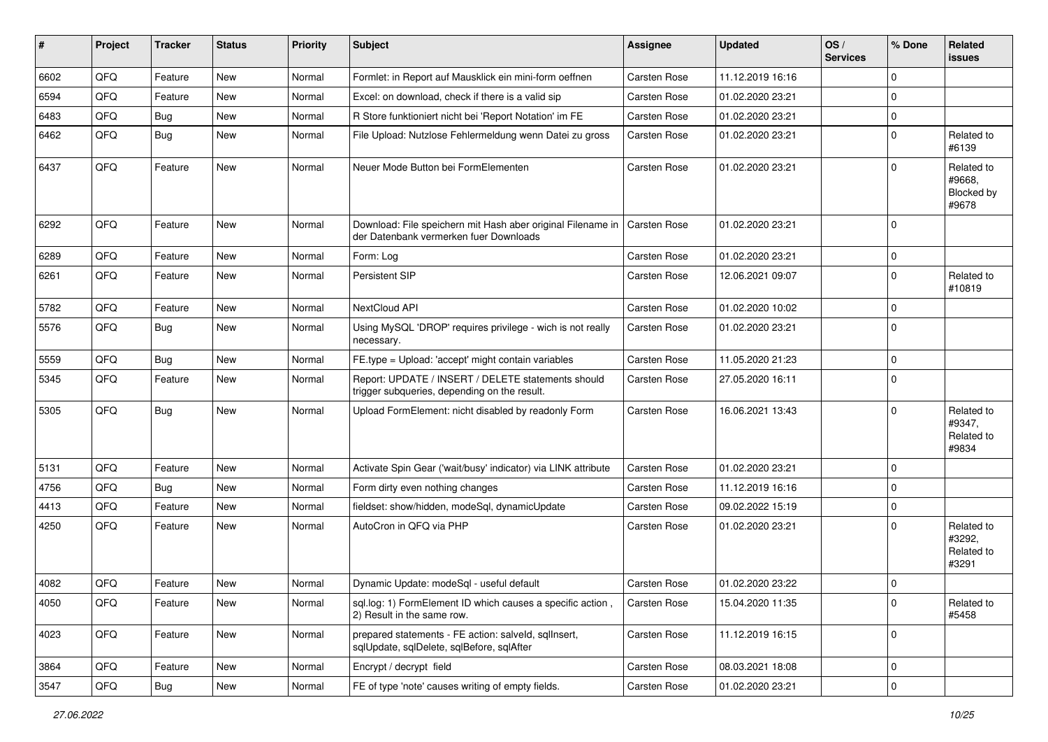| #    | Project | <b>Tracker</b> | <b>Status</b> | <b>Priority</b> | <b>Subject</b>                                                                                        | <b>Assignee</b>     | <b>Updated</b>   | OS/<br><b>Services</b> | % Done      | Related<br><b>issues</b>                    |
|------|---------|----------------|---------------|-----------------|-------------------------------------------------------------------------------------------------------|---------------------|------------------|------------------------|-------------|---------------------------------------------|
| 6602 | QFQ     | Feature        | New           | Normal          | Formlet: in Report auf Mausklick ein mini-form oeffnen                                                | <b>Carsten Rose</b> | 11.12.2019 16:16 |                        | 0           |                                             |
| 6594 | QFQ     | Feature        | New           | Normal          | Excel: on download, check if there is a valid sip                                                     | Carsten Rose        | 01.02.2020 23:21 |                        | $\Omega$    |                                             |
| 6483 | QFQ     | <b>Bug</b>     | New           | Normal          | R Store funktioniert nicht bei 'Report Notation' im FE                                                | Carsten Rose        | 01.02.2020 23:21 |                        | $\Omega$    |                                             |
| 6462 | QFQ     | Bug            | New           | Normal          | File Upload: Nutzlose Fehlermeldung wenn Datei zu gross                                               | Carsten Rose        | 01.02.2020 23:21 |                        | $\Omega$    | Related to<br>#6139                         |
| 6437 | QFQ     | Feature        | New           | Normal          | Neuer Mode Button bei FormElementen                                                                   | <b>Carsten Rose</b> | 01.02.2020 23:21 |                        | $\mathbf 0$ | Related to<br>#9668.<br>Blocked by<br>#9678 |
| 6292 | QFQ     | Feature        | New           | Normal          | Download: File speichern mit Hash aber original Filename in<br>der Datenbank vermerken fuer Downloads | Carsten Rose        | 01.02.2020 23:21 |                        | 0           |                                             |
| 6289 | QFQ     | Feature        | <b>New</b>    | Normal          | Form: Log                                                                                             | Carsten Rose        | 01.02.2020 23:21 |                        | $\Omega$    |                                             |
| 6261 | QFQ     | Feature        | New           | Normal          | Persistent SIP                                                                                        | Carsten Rose        | 12.06.2021 09:07 |                        | $\mathbf 0$ | Related to<br>#10819                        |
| 5782 | QFQ     | Feature        | New           | Normal          | NextCloud API                                                                                         | <b>Carsten Rose</b> | 01.02.2020 10:02 |                        | 0           |                                             |
| 5576 | QFQ     | Bug            | New           | Normal          | Using MySQL 'DROP' requires privilege - wich is not really<br>necessary.                              | <b>Carsten Rose</b> | 01.02.2020 23:21 |                        | $\Omega$    |                                             |
| 5559 | QFQ     | Bug            | <b>New</b>    | Normal          | FE.type = Upload: 'accept' might contain variables                                                    | <b>Carsten Rose</b> | 11.05.2020 21:23 |                        | $\Omega$    |                                             |
| 5345 | QFQ     | Feature        | New           | Normal          | Report: UPDATE / INSERT / DELETE statements should<br>trigger subqueries, depending on the result.    | Carsten Rose        | 27.05.2020 16:11 |                        | 0           |                                             |
| 5305 | QFQ     | Bug            | New           | Normal          | Upload FormElement: nicht disabled by readonly Form                                                   | Carsten Rose        | 16.06.2021 13:43 |                        | $\mathbf 0$ | Related to<br>#9347,<br>Related to<br>#9834 |
| 5131 | QFQ     | Feature        | <b>New</b>    | Normal          | Activate Spin Gear ('wait/busy' indicator) via LINK attribute                                         | Carsten Rose        | 01.02.2020 23:21 |                        | $\Omega$    |                                             |
| 4756 | QFQ     | Bug            | New           | Normal          | Form dirty even nothing changes                                                                       | Carsten Rose        | 11.12.2019 16:16 |                        | 0           |                                             |
| 4413 | QFQ     | Feature        | New           | Normal          | fieldset: show/hidden, modeSql, dynamicUpdate                                                         | Carsten Rose        | 09.02.2022 15:19 |                        | $\Omega$    |                                             |
| 4250 | QFQ     | Feature        | New           | Normal          | AutoCron in QFQ via PHP                                                                               | Carsten Rose        | 01.02.2020 23:21 |                        | $\mathbf 0$ | Related to<br>#3292,<br>Related to<br>#3291 |
| 4082 | QFQ     | Feature        | New           | Normal          | Dynamic Update: modeSql - useful default                                                              | <b>Carsten Rose</b> | 01.02.2020 23:22 |                        | 0           |                                             |
| 4050 | QFG     | Feature        | New           | Normal          | sql.log: 1) FormElement ID which causes a specific action,<br>2) Result in the same row.              | <b>Carsten Rose</b> | 15.04.2020 11:35 |                        | 0           | Related to<br>#5458                         |
| 4023 | QFQ     | Feature        | New           | Normal          | prepared statements - FE action: salveld, sqllnsert,<br>sqlUpdate, sqlDelete, sqlBefore, sqlAfter     | Carsten Rose        | 11.12.2019 16:15 |                        | 0           |                                             |
| 3864 | QFQ     | Feature        | New           | Normal          | Encrypt / decrypt field                                                                               | Carsten Rose        | 08.03.2021 18:08 |                        | 0           |                                             |
| 3547 | QFQ     | Bug            | New           | Normal          | FE of type 'note' causes writing of empty fields.                                                     | Carsten Rose        | 01.02.2020 23:21 |                        | 0           |                                             |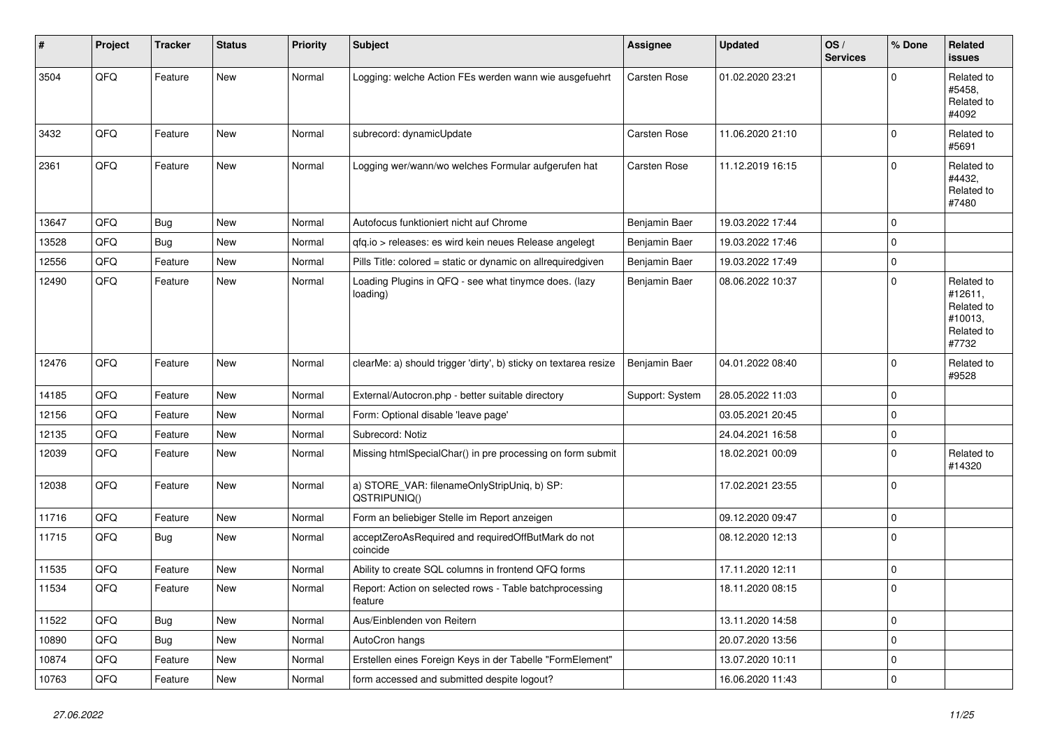| #     | Project | <b>Tracker</b> | <b>Status</b> | <b>Priority</b> | <b>Subject</b>                                                     | <b>Assignee</b>     | <b>Updated</b>   | OS/<br><b>Services</b> | % Done      | <b>Related</b><br>issues                                              |
|-------|---------|----------------|---------------|-----------------|--------------------------------------------------------------------|---------------------|------------------|------------------------|-------------|-----------------------------------------------------------------------|
| 3504  | QFQ     | Feature        | New           | Normal          | Logging: welche Action FEs werden wann wie ausgefuehrt             | <b>Carsten Rose</b> | 01.02.2020 23:21 |                        | $\Omega$    | Related to<br>#5458.<br>Related to<br>#4092                           |
| 3432  | QFQ     | Feature        | New           | Normal          | subrecord: dynamicUpdate                                           | Carsten Rose        | 11.06.2020 21:10 |                        | $\Omega$    | Related to<br>#5691                                                   |
| 2361  | QFQ     | Feature        | New           | Normal          | Logging wer/wann/wo welches Formular aufgerufen hat                | Carsten Rose        | 11.12.2019 16:15 |                        | $\mathbf 0$ | Related to<br>#4432,<br>Related to<br>#7480                           |
| 13647 | QFQ     | Bug            | New           | Normal          | Autofocus funktioniert nicht auf Chrome                            | Benjamin Baer       | 19.03.2022 17:44 |                        | $\Omega$    |                                                                       |
| 13528 | QFQ     | Bug            | New           | Normal          | qfq.io > releases: es wird kein neues Release angelegt             | Benjamin Baer       | 19.03.2022 17:46 |                        | $\mathbf 0$ |                                                                       |
| 12556 | QFQ     | Feature        | New           | Normal          | Pills Title: colored = static or dynamic on allrequiredgiven       | Benjamin Baer       | 19.03.2022 17:49 |                        | $\pmb{0}$   |                                                                       |
| 12490 | QFQ     | Feature        | New           | Normal          | Loading Plugins in QFQ - see what tinymce does. (lazy<br>loading)  | Benjamin Baer       | 08.06.2022 10:37 |                        | $\mathbf 0$ | Related to<br>#12611,<br>Related to<br>#10013,<br>Related to<br>#7732 |
| 12476 | QFQ     | Feature        | New           | Normal          | clearMe: a) should trigger 'dirty', b) sticky on textarea resize   | Benjamin Baer       | 04.01.2022 08:40 |                        | $\mathbf 0$ | Related to<br>#9528                                                   |
| 14185 | QFQ     | Feature        | New           | Normal          | External/Autocron.php - better suitable directory                  | Support: System     | 28.05.2022 11:03 |                        | $\Omega$    |                                                                       |
| 12156 | QFQ     | Feature        | New           | Normal          | Form: Optional disable 'leave page'                                |                     | 03.05.2021 20:45 |                        | $\mathbf 0$ |                                                                       |
| 12135 | QFQ     | Feature        | New           | Normal          | Subrecord: Notiz                                                   |                     | 24.04.2021 16:58 |                        | $\mathbf 0$ |                                                                       |
| 12039 | QFQ     | Feature        | New           | Normal          | Missing htmlSpecialChar() in pre processing on form submit         |                     | 18.02.2021 00:09 |                        | $\mathbf 0$ | Related to<br>#14320                                                  |
| 12038 | QFQ     | Feature        | New           | Normal          | a) STORE_VAR: filenameOnlyStripUniq, b) SP:<br>QSTRIPUNIQ()        |                     | 17.02.2021 23:55 |                        | $\mathbf 0$ |                                                                       |
| 11716 | QFQ     | Feature        | New           | Normal          | Form an beliebiger Stelle im Report anzeigen                       |                     | 09.12.2020 09:47 |                        | $\pmb{0}$   |                                                                       |
| 11715 | QFQ     | Bug            | New           | Normal          | acceptZeroAsRequired and requiredOffButMark do not<br>coincide     |                     | 08.12.2020 12:13 |                        | $\mathbf 0$ |                                                                       |
| 11535 | QFQ     | Feature        | New           | Normal          | Ability to create SQL columns in frontend QFQ forms                |                     | 17.11.2020 12:11 |                        | 0           |                                                                       |
| 11534 | QFQ     | Feature        | New           | Normal          | Report: Action on selected rows - Table batchprocessing<br>feature |                     | 18.11.2020 08:15 |                        | $\mathbf 0$ |                                                                       |
| 11522 | QFQ     | <b>Bug</b>     | New           | Normal          | Aus/Einblenden von Reitern                                         |                     | 13.11.2020 14:58 |                        | 0           |                                                                       |
| 10890 | QFQ     | <b>Bug</b>     | New           | Normal          | AutoCron hangs                                                     |                     | 20.07.2020 13:56 |                        | $\mathbf 0$ |                                                                       |
| 10874 | QFQ     | Feature        | New           | Normal          | Erstellen eines Foreign Keys in der Tabelle "FormElement"          |                     | 13.07.2020 10:11 |                        | $\pmb{0}$   |                                                                       |
| 10763 | QFQ     | Feature        | New           | Normal          | form accessed and submitted despite logout?                        |                     | 16.06.2020 11:43 |                        | $\mathbf 0$ |                                                                       |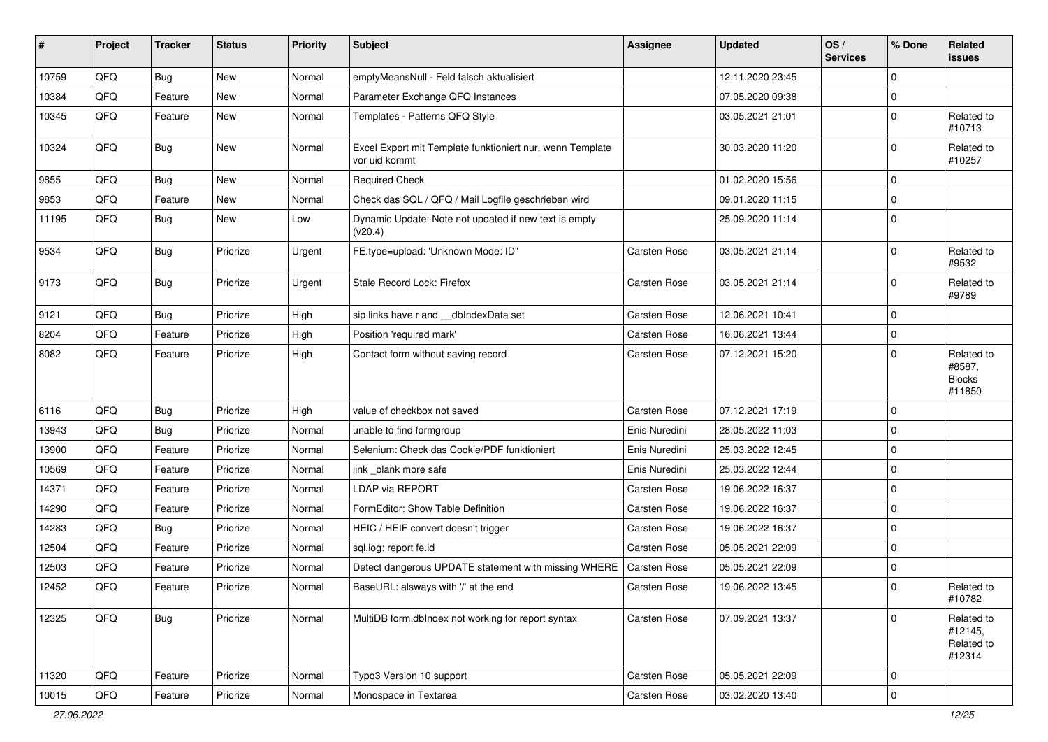| #     | Project | <b>Tracker</b> | <b>Status</b> | <b>Priority</b> | <b>Subject</b>                                                             | Assignee            | <b>Updated</b>   | OS/<br><b>Services</b> | % Done      | Related<br>issues                               |
|-------|---------|----------------|---------------|-----------------|----------------------------------------------------------------------------|---------------------|------------------|------------------------|-------------|-------------------------------------------------|
| 10759 | QFQ     | Bug            | New           | Normal          | emptyMeansNull - Feld falsch aktualisiert                                  |                     | 12.11.2020 23:45 |                        | 0           |                                                 |
| 10384 | QFQ     | Feature        | <b>New</b>    | Normal          | Parameter Exchange QFQ Instances                                           |                     | 07.05.2020 09:38 |                        | 0           |                                                 |
| 10345 | QFQ     | Feature        | New           | Normal          | Templates - Patterns QFQ Style                                             |                     | 03.05.2021 21:01 |                        | $\mathbf 0$ | Related to<br>#10713                            |
| 10324 | QFQ     | Bug            | <b>New</b>    | Normal          | Excel Export mit Template funktioniert nur, wenn Template<br>vor uid kommt |                     | 30.03.2020 11:20 |                        | $\mathbf 0$ | Related to<br>#10257                            |
| 9855  | QFQ     | <b>Bug</b>     | New           | Normal          | <b>Required Check</b>                                                      |                     | 01.02.2020 15:56 |                        | 0           |                                                 |
| 9853  | QFQ     | Feature        | New           | Normal          | Check das SQL / QFQ / Mail Logfile geschrieben wird                        |                     | 09.01.2020 11:15 |                        | 0           |                                                 |
| 11195 | QFQ     | Bug            | <b>New</b>    | Low             | Dynamic Update: Note not updated if new text is empty<br>(v20.4)           |                     | 25.09.2020 11:14 |                        | $\mathbf 0$ |                                                 |
| 9534  | QFQ     | Bug            | Priorize      | Urgent          | FE.type=upload: 'Unknown Mode: ID"                                         | Carsten Rose        | 03.05.2021 21:14 |                        | 0           | Related to<br>#9532                             |
| 9173  | QFQ     | <b>Bug</b>     | Priorize      | Urgent          | Stale Record Lock: Firefox                                                 | <b>Carsten Rose</b> | 03.05.2021 21:14 |                        | $\mathbf 0$ | Related to<br>#9789                             |
| 9121  | QFQ     | <b>Bug</b>     | Priorize      | High            | sip links have r and __dbIndexData set                                     | Carsten Rose        | 12.06.2021 10:41 |                        | 0           |                                                 |
| 8204  | QFQ     | Feature        | Priorize      | High            | Position 'required mark'                                                   | Carsten Rose        | 16.06.2021 13:44 |                        | 0           |                                                 |
| 8082  | QFQ     | Feature        | Priorize      | High            | Contact form without saving record                                         | Carsten Rose        | 07.12.2021 15:20 |                        | $\Omega$    | Related to<br>#8587,<br><b>Blocks</b><br>#11850 |
| 6116  | QFQ     | Bug            | Priorize      | High            | value of checkbox not saved                                                | <b>Carsten Rose</b> | 07.12.2021 17:19 |                        | $\mathbf 0$ |                                                 |
| 13943 | QFQ     | Bug            | Priorize      | Normal          | unable to find formgroup                                                   | Enis Nuredini       | 28.05.2022 11:03 |                        | $\mathbf 0$ |                                                 |
| 13900 | QFQ     | Feature        | Priorize      | Normal          | Selenium: Check das Cookie/PDF funktioniert                                | Enis Nuredini       | 25.03.2022 12:45 |                        | 0           |                                                 |
| 10569 | QFQ     | Feature        | Priorize      | Normal          | link blank more safe                                                       | Enis Nuredini       | 25.03.2022 12:44 |                        | 0           |                                                 |
| 14371 | QFQ     | Feature        | Priorize      | Normal          | <b>LDAP via REPORT</b>                                                     | Carsten Rose        | 19.06.2022 16:37 |                        | 0           |                                                 |
| 14290 | QFQ     | Feature        | Priorize      | Normal          | FormEditor: Show Table Definition                                          | Carsten Rose        | 19.06.2022 16:37 |                        | 0           |                                                 |
| 14283 | QFQ     | Bug            | Priorize      | Normal          | HEIC / HEIF convert doesn't trigger                                        | Carsten Rose        | 19.06.2022 16:37 |                        | 0           |                                                 |
| 12504 | QFQ     | Feature        | Priorize      | Normal          | sql.log: report fe.id                                                      | Carsten Rose        | 05.05.2021 22:09 |                        | 0           |                                                 |
| 12503 | QFQ     | Feature        | Priorize      | Normal          | Detect dangerous UPDATE statement with missing WHERE                       | <b>Carsten Rose</b> | 05.05.2021 22:09 |                        | 0           |                                                 |
| 12452 | QFQ     | Feature        | Priorize      | Normal          | BaseURL: alsways with '/' at the end                                       | <b>Carsten Rose</b> | 19.06.2022 13:45 |                        | $\mathbf 0$ | Related to<br>#10782                            |
| 12325 | QFQ     | <b>Bug</b>     | Priorize      | Normal          | MultiDB form.dblndex not working for report syntax                         | Carsten Rose        | 07.09.2021 13:37 |                        | 0           | Related to<br>#12145,<br>Related to<br>#12314   |
| 11320 | QFQ     | Feature        | Priorize      | Normal          | Typo3 Version 10 support                                                   | Carsten Rose        | 05.05.2021 22:09 |                        | $\mathbf 0$ |                                                 |
| 10015 | QFQ     | Feature        | Priorize      | Normal          | Monospace in Textarea                                                      | Carsten Rose        | 03.02.2020 13:40 |                        | $\pmb{0}$   |                                                 |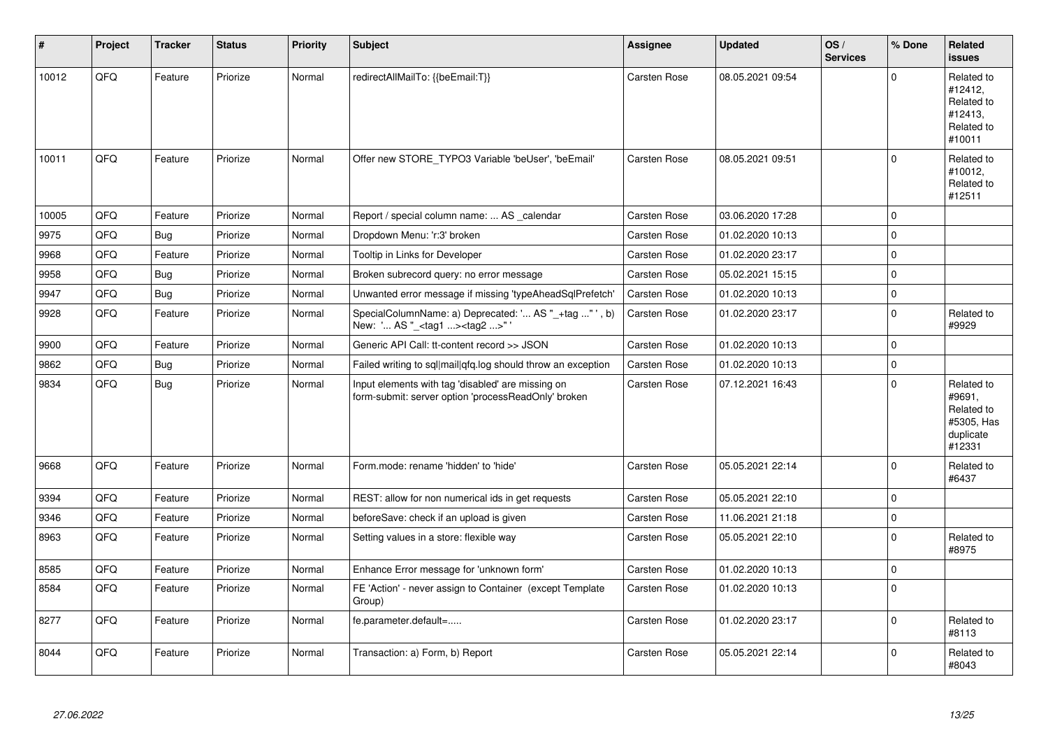| $\vert$ # | Project | <b>Tracker</b> | <b>Status</b> | <b>Priority</b> | <b>Subject</b>                                                                                           | Assignee            | <b>Updated</b>   | OS/<br><b>Services</b> | % Done      | Related<br><b>issues</b>                                                |
|-----------|---------|----------------|---------------|-----------------|----------------------------------------------------------------------------------------------------------|---------------------|------------------|------------------------|-------------|-------------------------------------------------------------------------|
| 10012     | QFQ     | Feature        | Priorize      | Normal          | redirectAllMailTo: {{beEmail:T}}                                                                         | Carsten Rose        | 08.05.2021 09:54 |                        | $\Omega$    | Related to<br>#12412,<br>Related to<br>#12413,<br>Related to<br>#10011  |
| 10011     | QFQ     | Feature        | Priorize      | Normal          | Offer new STORE TYPO3 Variable 'beUser', 'beEmail'                                                       | <b>Carsten Rose</b> | 08.05.2021 09:51 |                        | $\mathbf 0$ | Related to<br>#10012,<br>Related to<br>#12511                           |
| 10005     | QFQ     | Feature        | Priorize      | Normal          | Report / special column name:  AS _calendar                                                              | Carsten Rose        | 03.06.2020 17:28 |                        | $\Omega$    |                                                                         |
| 9975      | QFQ     | Bug            | Priorize      | Normal          | Dropdown Menu: 'r:3' broken                                                                              | Carsten Rose        | 01.02.2020 10:13 |                        | 0           |                                                                         |
| 9968      | QFQ     | Feature        | Priorize      | Normal          | Tooltip in Links for Developer                                                                           | <b>Carsten Rose</b> | 01.02.2020 23:17 |                        | 0           |                                                                         |
| 9958      | QFQ     | <b>Bug</b>     | Priorize      | Normal          | Broken subrecord query: no error message                                                                 | Carsten Rose        | 05.02.2021 15:15 |                        | 0           |                                                                         |
| 9947      | QFQ     | Bug            | Priorize      | Normal          | Unwanted error message if missing 'typeAheadSqlPrefetch'                                                 | Carsten Rose        | 01.02.2020 10:13 |                        | 0           |                                                                         |
| 9928      | QFQ     | Feature        | Priorize      | Normal          | SpecialColumnName: a) Deprecated: ' AS "_+tag " ', b)<br>New: ' AS "_ <tag1><tag2>"</tag2></tag1>        | Carsten Rose        | 01.02.2020 23:17 |                        | 0           | Related to<br>#9929                                                     |
| 9900      | QFQ     | Feature        | Priorize      | Normal          | Generic API Call: tt-content record >> JSON                                                              | Carsten Rose        | 01.02.2020 10:13 |                        | 0           |                                                                         |
| 9862      | QFQ     | <b>Bug</b>     | Priorize      | Normal          | Failed writing to sql mail qfq.log should throw an exception                                             | Carsten Rose        | 01.02.2020 10:13 |                        | 0           |                                                                         |
| 9834      | QFQ     | <b>Bug</b>     | Priorize      | Normal          | Input elements with tag 'disabled' are missing on<br>form-submit: server option 'processReadOnly' broken | Carsten Rose        | 07.12.2021 16:43 |                        | $\Omega$    | Related to<br>#9691,<br>Related to<br>#5305, Has<br>duplicate<br>#12331 |
| 9668      | QFQ     | Feature        | Priorize      | Normal          | Form.mode: rename 'hidden' to 'hide'                                                                     | <b>Carsten Rose</b> | 05.05.2021 22:14 |                        | 0           | Related to<br>#6437                                                     |
| 9394      | QFQ     | Feature        | Priorize      | Normal          | REST: allow for non numerical ids in get requests                                                        | Carsten Rose        | 05.05.2021 22:10 |                        | 0           |                                                                         |
| 9346      | QFQ     | Feature        | Priorize      | Normal          | beforeSave: check if an upload is given                                                                  | Carsten Rose        | 11.06.2021 21:18 |                        | 0           |                                                                         |
| 8963      | QFQ     | Feature        | Priorize      | Normal          | Setting values in a store: flexible way                                                                  | Carsten Rose        | 05.05.2021 22:10 |                        | 0           | Related to<br>#8975                                                     |
| 8585      | QFQ     | Feature        | Priorize      | Normal          | Enhance Error message for 'unknown form'                                                                 | Carsten Rose        | 01.02.2020 10:13 |                        | 0           |                                                                         |
| 8584      | QFQ     | Feature        | Priorize      | Normal          | FE 'Action' - never assign to Container (except Template<br>Group)                                       | Carsten Rose        | 01.02.2020 10:13 |                        | $\Omega$    |                                                                         |
| 8277      | QFQ     | Feature        | Priorize      | Normal          | fe.parameter.default=                                                                                    | Carsten Rose        | 01.02.2020 23:17 |                        | 0           | Related to<br>#8113                                                     |
| 8044      | QFQ     | Feature        | Priorize      | Normal          | Transaction: a) Form, b) Report                                                                          | <b>Carsten Rose</b> | 05.05.2021 22:14 |                        | $\Omega$    | Related to<br>#8043                                                     |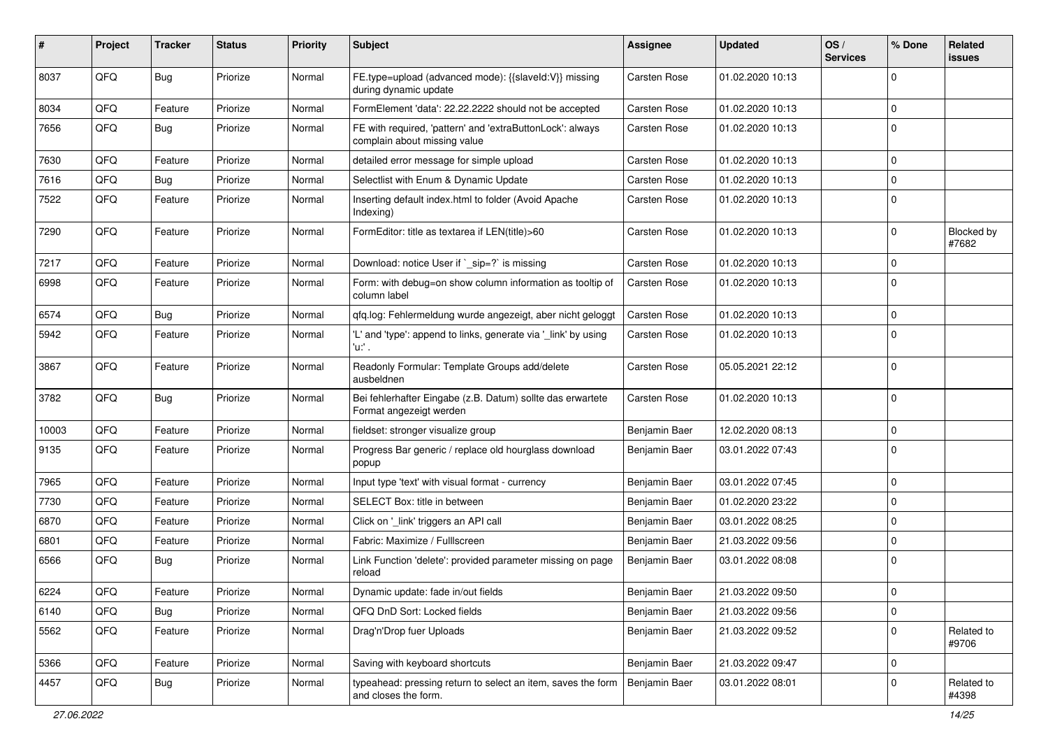| #     | Project | <b>Tracker</b> | <b>Status</b> | <b>Priority</b> | <b>Subject</b>                                                                            | <b>Assignee</b>     | <b>Updated</b>   | OS/<br><b>Services</b> | % Done      | Related<br>issues   |
|-------|---------|----------------|---------------|-----------------|-------------------------------------------------------------------------------------------|---------------------|------------------|------------------------|-------------|---------------------|
| 8037  | QFQ     | <b>Bug</b>     | Priorize      | Normal          | FE.type=upload (advanced mode): {{slaveld:V}} missing<br>during dynamic update            | Carsten Rose        | 01.02.2020 10:13 |                        | $\mathbf 0$ |                     |
| 8034  | QFQ     | Feature        | Priorize      | Normal          | FormElement 'data': 22.22.2222 should not be accepted                                     | Carsten Rose        | 01.02.2020 10:13 |                        | $\mathbf 0$ |                     |
| 7656  | QFQ     | <b>Bug</b>     | Priorize      | Normal          | FE with required, 'pattern' and 'extraButtonLock': always<br>complain about missing value | Carsten Rose        | 01.02.2020 10:13 |                        | $\mathbf 0$ |                     |
| 7630  | QFQ     | Feature        | Priorize      | Normal          | detailed error message for simple upload                                                  | Carsten Rose        | 01.02.2020 10:13 |                        | $\mathbf 0$ |                     |
| 7616  | QFQ     | <b>Bug</b>     | Priorize      | Normal          | Selectlist with Enum & Dynamic Update                                                     | Carsten Rose        | 01.02.2020 10:13 |                        | $\mathbf 0$ |                     |
| 7522  | QFQ     | Feature        | Priorize      | Normal          | Inserting default index.html to folder (Avoid Apache<br>Indexing)                         | Carsten Rose        | 01.02.2020 10:13 |                        | $\mathbf 0$ |                     |
| 7290  | QFQ     | Feature        | Priorize      | Normal          | FormEditor: title as textarea if LEN(title)>60                                            | Carsten Rose        | 01.02.2020 10:13 |                        | $\mathbf 0$ | Blocked by<br>#7682 |
| 7217  | QFQ     | Feature        | Priorize      | Normal          | Download: notice User if `_sip=?` is missing                                              | Carsten Rose        | 01.02.2020 10:13 |                        | $\mathbf 0$ |                     |
| 6998  | QFQ     | Feature        | Priorize      | Normal          | Form: with debug=on show column information as tooltip of<br>column label                 | Carsten Rose        | 01.02.2020 10:13 |                        | $\mathbf 0$ |                     |
| 6574  | QFQ     | <b>Bug</b>     | Priorize      | Normal          | qfq.log: Fehlermeldung wurde angezeigt, aber nicht geloggt                                | <b>Carsten Rose</b> | 01.02.2020 10:13 |                        | $\mathbf 0$ |                     |
| 5942  | QFQ     | Feature        | Priorize      | Normal          | 'L' and 'type': append to links, generate via '_link' by using<br>'u:' .                  | Carsten Rose        | 01.02.2020 10:13 |                        | $\Omega$    |                     |
| 3867  | QFQ     | Feature        | Priorize      | Normal          | Readonly Formular: Template Groups add/delete<br>ausbeldnen                               | Carsten Rose        | 05.05.2021 22:12 |                        | 0           |                     |
| 3782  | QFQ     | <b>Bug</b>     | Priorize      | Normal          | Bei fehlerhafter Eingabe (z.B. Datum) sollte das erwartete<br>Format angezeigt werden     | Carsten Rose        | 01.02.2020 10:13 |                        | $\mathbf 0$ |                     |
| 10003 | QFQ     | Feature        | Priorize      | Normal          | fieldset: stronger visualize group                                                        | Benjamin Baer       | 12.02.2020 08:13 |                        | $\mathbf 0$ |                     |
| 9135  | QFQ     | Feature        | Priorize      | Normal          | Progress Bar generic / replace old hourglass download<br>popup                            | Benjamin Baer       | 03.01.2022 07:43 |                        | $\mathbf 0$ |                     |
| 7965  | QFQ     | Feature        | Priorize      | Normal          | Input type 'text' with visual format - currency                                           | Benjamin Baer       | 03.01.2022 07:45 |                        | $\mathbf 0$ |                     |
| 7730  | QFQ     | Feature        | Priorize      | Normal          | SELECT Box: title in between                                                              | Benjamin Baer       | 01.02.2020 23:22 |                        | $\mathbf 0$ |                     |
| 6870  | QFQ     | Feature        | Priorize      | Normal          | Click on '_link' triggers an API call                                                     | Benjamin Baer       | 03.01.2022 08:25 |                        | $\Omega$    |                     |
| 6801  | QFQ     | Feature        | Priorize      | Normal          | Fabric: Maximize / Fulllscreen                                                            | Benjamin Baer       | 21.03.2022 09:56 |                        | 0           |                     |
| 6566  | QFQ     | Bug            | Priorize      | Normal          | Link Function 'delete': provided parameter missing on page<br>reload                      | Benjamin Baer       | 03.01.2022 08:08 |                        | $\mathbf 0$ |                     |
| 6224  | QFQ     | Feature        | Priorize      | Normal          | Dynamic update: fade in/out fields                                                        | Benjamin Baer       | 21.03.2022 09:50 |                        | $\pmb{0}$   |                     |
| 6140  | QFG     | <b>Bug</b>     | Priorize      | Normal          | QFQ DnD Sort: Locked fields                                                               | Benjamin Baer       | 21.03.2022 09:56 |                        | $\mathbf 0$ |                     |
| 5562  | QFQ     | Feature        | Priorize      | Normal          | Drag'n'Drop fuer Uploads                                                                  | Benjamin Baer       | 21.03.2022 09:52 |                        | $\mathbf 0$ | Related to<br>#9706 |
| 5366  | QFQ     | Feature        | Priorize      | Normal          | Saving with keyboard shortcuts                                                            | Benjamin Baer       | 21.03.2022 09:47 |                        | $\mathbf 0$ |                     |
| 4457  | QFQ     | <b>Bug</b>     | Priorize      | Normal          | typeahead: pressing return to select an item, saves the form<br>and closes the form.      | Benjamin Baer       | 03.01.2022 08:01 |                        | 0           | Related to<br>#4398 |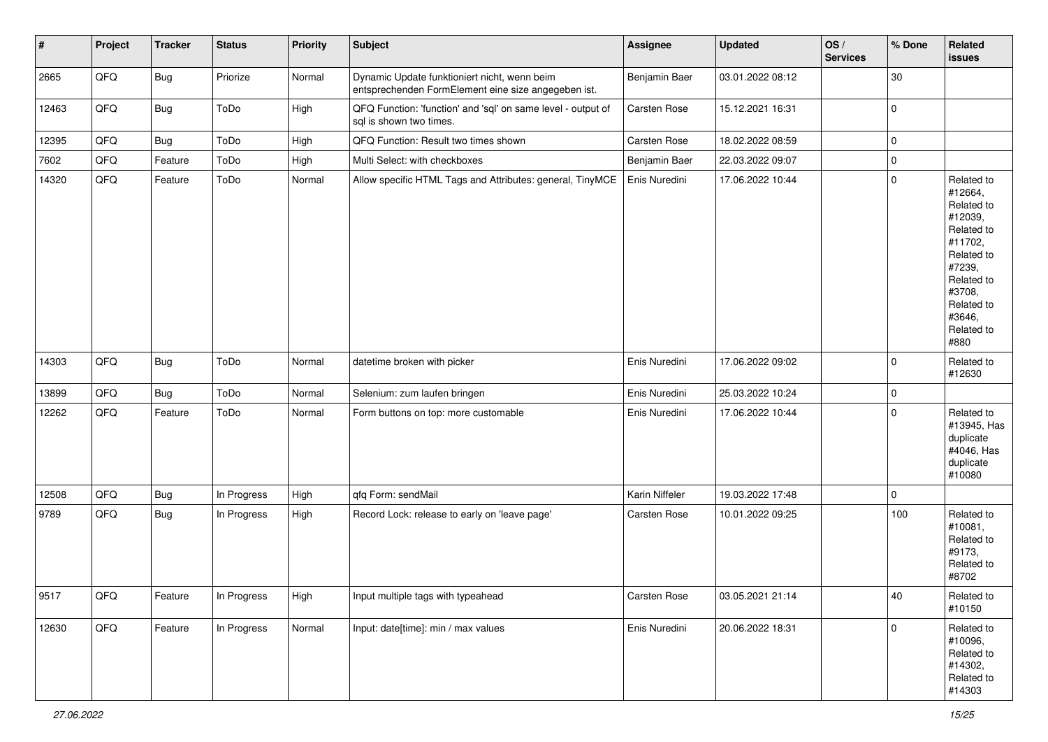| #     | Project | <b>Tracker</b> | <b>Status</b> | <b>Priority</b> | <b>Subject</b>                                                                                      | Assignee       | <b>Updated</b>   | OS/<br><b>Services</b> | % Done      | <b>Related</b><br>issues                                                                                                                                              |
|-------|---------|----------------|---------------|-----------------|-----------------------------------------------------------------------------------------------------|----------------|------------------|------------------------|-------------|-----------------------------------------------------------------------------------------------------------------------------------------------------------------------|
| 2665  | QFQ     | <b>Bug</b>     | Priorize      | Normal          | Dynamic Update funktioniert nicht, wenn beim<br>entsprechenden FormElement eine size angegeben ist. | Benjamin Baer  | 03.01.2022 08:12 |                        | $30\,$      |                                                                                                                                                                       |
| 12463 | QFQ     | Bug            | ToDo          | High            | QFQ Function: 'function' and 'sql' on same level - output of<br>sql is shown two times.             | Carsten Rose   | 15.12.2021 16:31 |                        | 0           |                                                                                                                                                                       |
| 12395 | QFQ     | Bug            | ToDo          | High            | QFQ Function: Result two times shown                                                                | Carsten Rose   | 18.02.2022 08:59 |                        | 0           |                                                                                                                                                                       |
| 7602  | QFQ     | Feature        | ToDo          | High            | Multi Select: with checkboxes                                                                       | Benjamin Baer  | 22.03.2022 09:07 |                        | $\mathbf 0$ |                                                                                                                                                                       |
| 14320 | QFQ     | Feature        | ToDo          | Normal          | Allow specific HTML Tags and Attributes: general, TinyMCE                                           | Enis Nuredini  | 17.06.2022 10:44 |                        | $\pmb{0}$   | Related to<br>#12664,<br>Related to<br>#12039,<br>Related to<br>#11702,<br>Related to<br>#7239,<br>Related to<br>#3708,<br>Related to<br>#3646,<br>Related to<br>#880 |
| 14303 | QFQ     | Bug            | ToDo          | Normal          | datetime broken with picker                                                                         | Enis Nuredini  | 17.06.2022 09:02 |                        | $\mathbf 0$ | Related to<br>#12630                                                                                                                                                  |
| 13899 | QFQ     | <b>Bug</b>     | ToDo          | Normal          | Selenium: zum laufen bringen                                                                        | Enis Nuredini  | 25.03.2022 10:24 |                        | $\mathbf 0$ |                                                                                                                                                                       |
| 12262 | QFQ     | Feature        | ToDo          | Normal          | Form buttons on top: more customable                                                                | Enis Nuredini  | 17.06.2022 10:44 |                        | $\mathbf 0$ | Related to<br>#13945, Has<br>duplicate<br>#4046, Has<br>duplicate<br>#10080                                                                                           |
| 12508 | QFQ     | <b>Bug</b>     | In Progress   | High            | qfq Form: sendMail                                                                                  | Karin Niffeler | 19.03.2022 17:48 |                        | $\mathbf 0$ |                                                                                                                                                                       |
| 9789  | QFQ     | <b>Bug</b>     | In Progress   | High            | Record Lock: release to early on 'leave page'                                                       | Carsten Rose   | 10.01.2022 09:25 |                        | 100         | Related to<br>#10081,<br>Related to<br>#9173,<br>Related to<br>#8702                                                                                                  |
| 9517  | QFQ     | Feature        | In Progress   | High            | Input multiple tags with typeahead                                                                  | Carsten Rose   | 03.05.2021 21:14 |                        | 40          | Related to<br>#10150                                                                                                                                                  |
| 12630 | QFQ     | Feature        | In Progress   | Normal          | Input: date[time]: min / max values                                                                 | Enis Nuredini  | 20.06.2022 18:31 |                        | $\pmb{0}$   | Related to<br>#10096,<br>Related to<br>#14302,<br>Related to<br>#14303                                                                                                |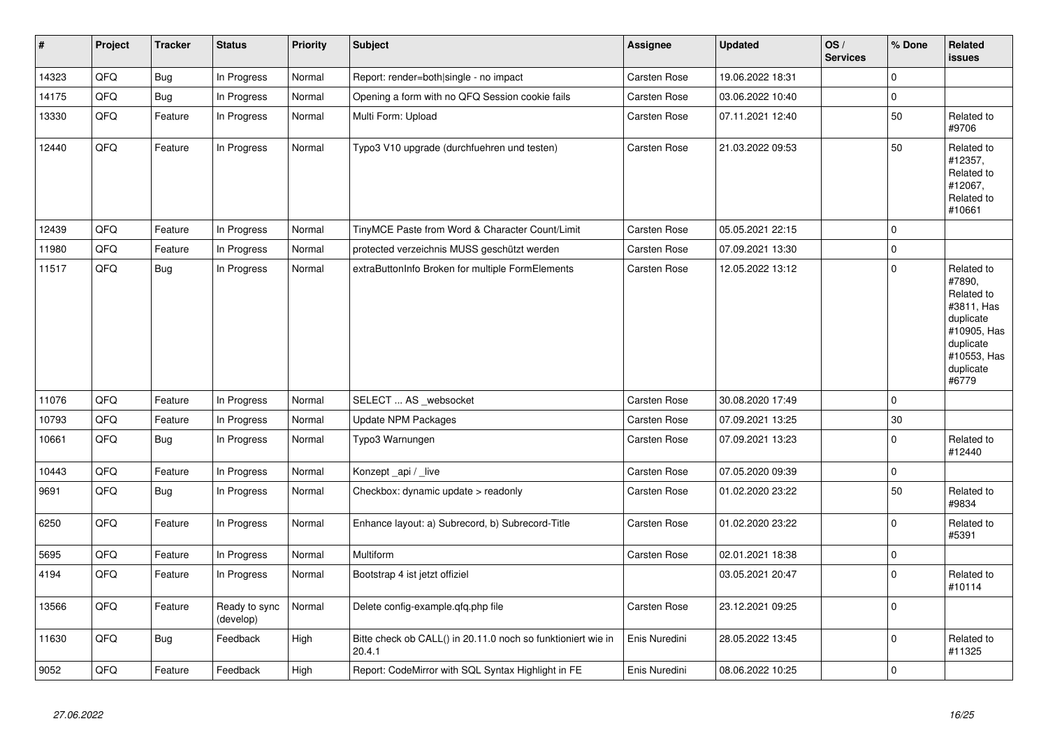| $\vert$ # | Project | <b>Tracker</b> | <b>Status</b>              | <b>Priority</b> | <b>Subject</b>                                                         | <b>Assignee</b>     | <b>Updated</b>   | OS/<br><b>Services</b> | % Done         | <b>Related</b><br><b>issues</b>                                                                                                |
|-----------|---------|----------------|----------------------------|-----------------|------------------------------------------------------------------------|---------------------|------------------|------------------------|----------------|--------------------------------------------------------------------------------------------------------------------------------|
| 14323     | QFQ     | Bug            | In Progress                | Normal          | Report: render=both single - no impact                                 | Carsten Rose        | 19.06.2022 18:31 |                        | 0              |                                                                                                                                |
| 14175     | QFQ     | <b>Bug</b>     | In Progress                | Normal          | Opening a form with no QFQ Session cookie fails                        | Carsten Rose        | 03.06.2022 10:40 |                        | $\Omega$       |                                                                                                                                |
| 13330     | QFQ     | Feature        | In Progress                | Normal          | Multi Form: Upload                                                     | Carsten Rose        | 07.11.2021 12:40 |                        | 50             | Related to<br>#9706                                                                                                            |
| 12440     | QFQ     | Feature        | In Progress                | Normal          | Typo3 V10 upgrade (durchfuehren und testen)                            | Carsten Rose        | 21.03.2022 09:53 |                        | 50             | Related to<br>#12357,<br>Related to<br>#12067,<br>Related to<br>#10661                                                         |
| 12439     | QFQ     | Feature        | In Progress                | Normal          | TinyMCE Paste from Word & Character Count/Limit                        | Carsten Rose        | 05.05.2021 22:15 |                        | 0              |                                                                                                                                |
| 11980     | QFQ     | Feature        | In Progress                | Normal          | protected verzeichnis MUSS geschützt werden                            | Carsten Rose        | 07.09.2021 13:30 |                        | 0              |                                                                                                                                |
| 11517     | QFQ     | <b>Bug</b>     | In Progress                | Normal          | extraButtonInfo Broken for multiple FormElements                       | Carsten Rose        | 12.05.2022 13:12 |                        | 0              | Related to<br>#7890,<br>Related to<br>#3811, Has<br>duplicate<br>#10905, Has<br>duplicate<br>#10553, Has<br>duplicate<br>#6779 |
| 11076     | QFQ     | Feature        | In Progress                | Normal          | SELECT  AS _websocket                                                  | Carsten Rose        | 30.08.2020 17:49 |                        | 0              |                                                                                                                                |
| 10793     | QFQ     | Feature        | In Progress                | Normal          | <b>Update NPM Packages</b>                                             | <b>Carsten Rose</b> | 07.09.2021 13:25 |                        | 30             |                                                                                                                                |
| 10661     | QFQ     | <b>Bug</b>     | In Progress                | Normal          | Typo3 Warnungen                                                        | Carsten Rose        | 07.09.2021 13:23 |                        | 0              | Related to<br>#12440                                                                                                           |
| 10443     | QFQ     | Feature        | In Progress                | Normal          | Konzept_api / _live                                                    | Carsten Rose        | 07.05.2020 09:39 |                        | $\mathsf 0$    |                                                                                                                                |
| 9691      | QFQ     | <b>Bug</b>     | In Progress                | Normal          | Checkbox: dynamic update > readonly                                    | Carsten Rose        | 01.02.2020 23:22 |                        | 50             | Related to<br>#9834                                                                                                            |
| 6250      | QFQ     | Feature        | In Progress                | Normal          | Enhance layout: a) Subrecord, b) Subrecord-Title                       | Carsten Rose        | 01.02.2020 23:22 |                        | $\overline{0}$ | Related to<br>#5391                                                                                                            |
| 5695      | QFQ     | Feature        | In Progress                | Normal          | Multiform                                                              | Carsten Rose        | 02.01.2021 18:38 |                        | 0              |                                                                                                                                |
| 4194      | QFQ     | Feature        | In Progress                | Normal          | Bootstrap 4 ist jetzt offiziel                                         |                     | 03.05.2021 20:47 |                        | 0              | Related to<br>#10114                                                                                                           |
| 13566     | QFQ     | Feature        | Ready to sync<br>(develop) | Normal          | Delete config-example.qfq.php file                                     | Carsten Rose        | 23.12.2021 09:25 |                        | 0              |                                                                                                                                |
| 11630     | QFQ     | <b>Bug</b>     | Feedback                   | High            | Bitte check ob CALL() in 20.11.0 noch so funktioniert wie in<br>20.4.1 | Enis Nuredini       | 28.05.2022 13:45 |                        | $\overline{0}$ | Related to<br>#11325                                                                                                           |
| 9052      | QFQ     | Feature        | Feedback                   | High            | Report: CodeMirror with SQL Syntax Highlight in FE                     | Enis Nuredini       | 08.06.2022 10:25 |                        | $\Omega$       |                                                                                                                                |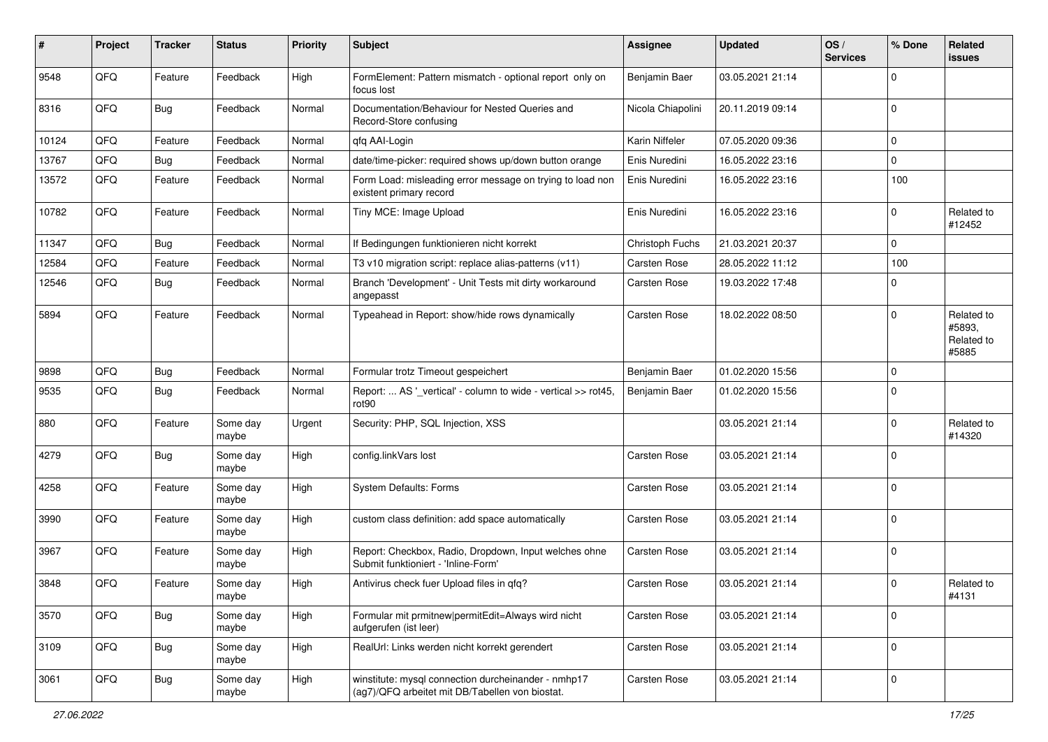| #     | Project | <b>Tracker</b> | <b>Status</b>     | <b>Priority</b> | <b>Subject</b>                                                                                         | <b>Assignee</b>   | <b>Updated</b>   | OS/<br><b>Services</b> | % Done      | Related<br><b>issues</b>                    |
|-------|---------|----------------|-------------------|-----------------|--------------------------------------------------------------------------------------------------------|-------------------|------------------|------------------------|-------------|---------------------------------------------|
| 9548  | QFQ     | Feature        | Feedback          | High            | FormElement: Pattern mismatch - optional report only on<br>focus lost                                  | Benjamin Baer     | 03.05.2021 21:14 |                        | $\mathbf 0$ |                                             |
| 8316  | QFQ     | Bug            | Feedback          | Normal          | Documentation/Behaviour for Nested Queries and<br>Record-Store confusing                               | Nicola Chiapolini | 20.11.2019 09:14 |                        | $\mathbf 0$ |                                             |
| 10124 | QFQ     | Feature        | Feedback          | Normal          | qfq AAI-Login                                                                                          | Karin Niffeler    | 07.05.2020 09:36 |                        | 0           |                                             |
| 13767 | QFQ     | <b>Bug</b>     | Feedback          | Normal          | date/time-picker: required shows up/down button orange                                                 | Enis Nuredini     | 16.05.2022 23:16 |                        | $\mathbf 0$ |                                             |
| 13572 | QFQ     | Feature        | Feedback          | Normal          | Form Load: misleading error message on trying to load non<br>existent primary record                   | Enis Nuredini     | 16.05.2022 23:16 |                        | 100         |                                             |
| 10782 | QFQ     | Feature        | Feedback          | Normal          | Tiny MCE: Image Upload                                                                                 | Enis Nuredini     | 16.05.2022 23:16 |                        | $\mathbf 0$ | Related to<br>#12452                        |
| 11347 | QFQ     | <b>Bug</b>     | Feedback          | Normal          | If Bedingungen funktionieren nicht korrekt                                                             | Christoph Fuchs   | 21.03.2021 20:37 |                        | $\mathbf 0$ |                                             |
| 12584 | QFQ     | Feature        | Feedback          | Normal          | T3 v10 migration script: replace alias-patterns (v11)                                                  | Carsten Rose      | 28.05.2022 11:12 |                        | 100         |                                             |
| 12546 | QFQ     | Bug            | Feedback          | Normal          | Branch 'Development' - Unit Tests mit dirty workaround<br>angepasst                                    | Carsten Rose      | 19.03.2022 17:48 |                        | 0           |                                             |
| 5894  | QFQ     | Feature        | Feedback          | Normal          | Typeahead in Report: show/hide rows dynamically                                                        | Carsten Rose      | 18.02.2022 08:50 |                        | $\mathbf 0$ | Related to<br>#5893.<br>Related to<br>#5885 |
| 9898  | QFQ     | Bug            | Feedback          | Normal          | Formular trotz Timeout gespeichert                                                                     | Benjamin Baer     | 01.02.2020 15:56 |                        | $\mathbf 0$ |                                             |
| 9535  | QFQ     | <b>Bug</b>     | Feedback          | Normal          | Report:  AS '_vertical' - column to wide - vertical >> rot45,<br>rot <sub>90</sub>                     | Benjamin Baer     | 01.02.2020 15:56 |                        | $\mathbf 0$ |                                             |
| 880   | QFQ     | Feature        | Some day<br>maybe | Urgent          | Security: PHP, SQL Injection, XSS                                                                      |                   | 03.05.2021 21:14 |                        | $\mathbf 0$ | Related to<br>#14320                        |
| 4279  | QFQ     | <b>Bug</b>     | Some day<br>maybe | High            | config.linkVars lost                                                                                   | Carsten Rose      | 03.05.2021 21:14 |                        | $\mathbf 0$ |                                             |
| 4258  | QFQ     | Feature        | Some day<br>maybe | High            | System Defaults: Forms                                                                                 | Carsten Rose      | 03.05.2021 21:14 |                        | $\Omega$    |                                             |
| 3990  | QFQ     | Feature        | Some day<br>maybe | High            | custom class definition: add space automatically                                                       | Carsten Rose      | 03.05.2021 21:14 |                        | $\pmb{0}$   |                                             |
| 3967  | QFQ     | Feature        | Some day<br>maybe | High            | Report: Checkbox, Radio, Dropdown, Input welches ohne<br>Submit funktioniert - 'Inline-Form'           | Carsten Rose      | 03.05.2021 21:14 |                        | $\mathbf 0$ |                                             |
| 3848  | QFQ     | Feature        | Some day<br>maybe | High            | Antivirus check fuer Upload files in qfq?                                                              | Carsten Rose      | 03.05.2021 21:14 |                        | 0           | Related to<br>#4131                         |
| 3570  | QFQ     | Bug            | Some day<br>maybe | High            | Formular mit prmitnew permitEdit=Always wird nicht<br>aufgerufen (ist leer)                            | Carsten Rose      | 03.05.2021 21:14 |                        | $\mathbf 0$ |                                             |
| 3109  | QFQ     | <b>Bug</b>     | Some day<br>maybe | High            | RealUrl: Links werden nicht korrekt gerendert                                                          | Carsten Rose      | 03.05.2021 21:14 |                        | $\pmb{0}$   |                                             |
| 3061  | QFG     | <b>Bug</b>     | Some day<br>maybe | High            | winstitute: mysql connection durcheinander - nmhp17<br>(ag7)/QFQ arbeitet mit DB/Tabellen von biostat. | Carsten Rose      | 03.05.2021 21:14 |                        | $\pmb{0}$   |                                             |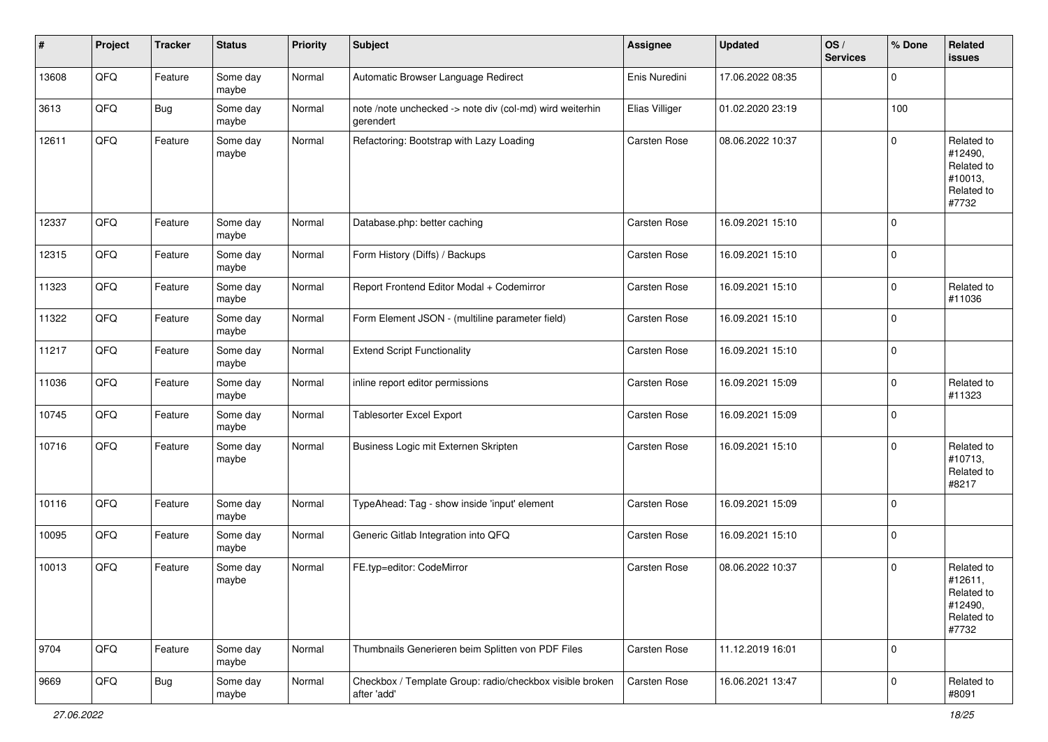| #     | Project | <b>Tracker</b> | <b>Status</b>     | <b>Priority</b> | <b>Subject</b>                                                          | <b>Assignee</b>     | <b>Updated</b>   | OS/<br><b>Services</b> | % Done      | <b>Related</b><br>issues                                              |
|-------|---------|----------------|-------------------|-----------------|-------------------------------------------------------------------------|---------------------|------------------|------------------------|-------------|-----------------------------------------------------------------------|
| 13608 | QFQ     | Feature        | Some day<br>maybe | Normal          | Automatic Browser Language Redirect                                     | Enis Nuredini       | 17.06.2022 08:35 |                        | $\mathbf 0$ |                                                                       |
| 3613  | QFQ     | <b>Bug</b>     | Some day<br>maybe | Normal          | note /note unchecked -> note div (col-md) wird weiterhin<br>gerendert   | Elias Villiger      | 01.02.2020 23:19 |                        | 100         |                                                                       |
| 12611 | QFQ     | Feature        | Some day<br>maybe | Normal          | Refactoring: Bootstrap with Lazy Loading                                | Carsten Rose        | 08.06.2022 10:37 |                        | $\mathbf 0$ | Related to<br>#12490,<br>Related to<br>#10013,<br>Related to<br>#7732 |
| 12337 | QFQ     | Feature        | Some day<br>maybe | Normal          | Database.php: better caching                                            | Carsten Rose        | 16.09.2021 15:10 |                        | $\mathbf 0$ |                                                                       |
| 12315 | QFQ     | Feature        | Some day<br>maybe | Normal          | Form History (Diffs) / Backups                                          | Carsten Rose        | 16.09.2021 15:10 |                        | $\mathbf 0$ |                                                                       |
| 11323 | QFQ     | Feature        | Some day<br>maybe | Normal          | Report Frontend Editor Modal + Codemirror                               | Carsten Rose        | 16.09.2021 15:10 |                        | $\mathbf 0$ | Related to<br>#11036                                                  |
| 11322 | QFQ     | Feature        | Some day<br>maybe | Normal          | Form Element JSON - (multiline parameter field)                         | Carsten Rose        | 16.09.2021 15:10 |                        | $\mathbf 0$ |                                                                       |
| 11217 | QFQ     | Feature        | Some day<br>maybe | Normal          | <b>Extend Script Functionality</b>                                      | Carsten Rose        | 16.09.2021 15:10 |                        | $\mathbf 0$ |                                                                       |
| 11036 | QFQ     | Feature        | Some day<br>maybe | Normal          | inline report editor permissions                                        | Carsten Rose        | 16.09.2021 15:09 |                        | $\mathbf 0$ | Related to<br>#11323                                                  |
| 10745 | QFQ     | Feature        | Some day<br>maybe | Normal          | <b>Tablesorter Excel Export</b>                                         | Carsten Rose        | 16.09.2021 15:09 |                        | $\mathbf 0$ |                                                                       |
| 10716 | QFQ     | Feature        | Some day<br>maybe | Normal          | Business Logic mit Externen Skripten                                    | Carsten Rose        | 16.09.2021 15:10 |                        | $\mathbf 0$ | Related to<br>#10713,<br>Related to<br>#8217                          |
| 10116 | QFQ     | Feature        | Some day<br>maybe | Normal          | TypeAhead: Tag - show inside 'input' element                            | Carsten Rose        | 16.09.2021 15:09 |                        | $\mathbf 0$ |                                                                       |
| 10095 | QFQ     | Feature        | Some day<br>maybe | Normal          | Generic Gitlab Integration into QFQ                                     | Carsten Rose        | 16.09.2021 15:10 |                        | $\mathbf 0$ |                                                                       |
| 10013 | QFQ     | Feature        | Some day<br>maybe | Normal          | FE.typ=editor: CodeMirror                                               | <b>Carsten Rose</b> | 08.06.2022 10:37 |                        | $\mathbf 0$ | Related to<br>#12611,<br>Related to<br>#12490,<br>Related to<br>#7732 |
| 9704  | QFQ     | Feature        | Some day<br>maybe | Normal          | Thumbnails Generieren beim Splitten von PDF Files                       | Carsten Rose        | 11.12.2019 16:01 |                        | $\mathbf 0$ |                                                                       |
| 9669  | QFQ     | <b>Bug</b>     | Some day<br>maybe | Normal          | Checkbox / Template Group: radio/checkbox visible broken<br>after 'add' | Carsten Rose        | 16.06.2021 13:47 |                        | $\mathbf 0$ | Related to<br>#8091                                                   |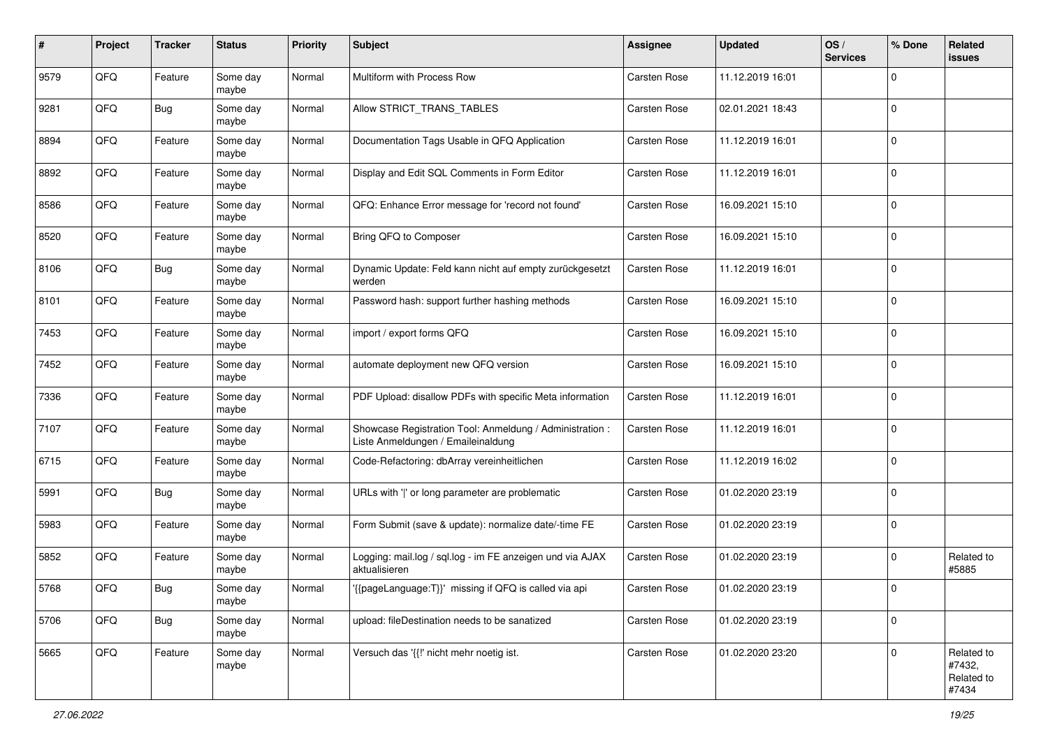| #    | Project | <b>Tracker</b> | <b>Status</b>     | <b>Priority</b> | <b>Subject</b>                                                                                 | Assignee     | <b>Updated</b>   | OS/<br><b>Services</b> | % Done      | Related<br><b>issues</b>                    |
|------|---------|----------------|-------------------|-----------------|------------------------------------------------------------------------------------------------|--------------|------------------|------------------------|-------------|---------------------------------------------|
| 9579 | QFQ     | Feature        | Some day<br>maybe | Normal          | Multiform with Process Row                                                                     | Carsten Rose | 11.12.2019 16:01 |                        | $\mathbf 0$ |                                             |
| 9281 | QFQ     | Bug            | Some day<br>maybe | Normal          | Allow STRICT_TRANS_TABLES                                                                      | Carsten Rose | 02.01.2021 18:43 |                        | $\mathbf 0$ |                                             |
| 8894 | QFQ     | Feature        | Some day<br>maybe | Normal          | Documentation Tags Usable in QFQ Application                                                   | Carsten Rose | 11.12.2019 16:01 |                        | 0           |                                             |
| 8892 | QFQ     | Feature        | Some day<br>maybe | Normal          | Display and Edit SQL Comments in Form Editor                                                   | Carsten Rose | 11.12.2019 16:01 |                        | $\mathbf 0$ |                                             |
| 8586 | QFQ     | Feature        | Some day<br>maybe | Normal          | QFQ: Enhance Error message for 'record not found'                                              | Carsten Rose | 16.09.2021 15:10 |                        | $\mathbf 0$ |                                             |
| 8520 | QFQ     | Feature        | Some day<br>maybe | Normal          | Bring QFQ to Composer                                                                          | Carsten Rose | 16.09.2021 15:10 |                        | $\mathbf 0$ |                                             |
| 8106 | QFQ     | Bug            | Some day<br>maybe | Normal          | Dynamic Update: Feld kann nicht auf empty zurückgesetzt<br>werden                              | Carsten Rose | 11.12.2019 16:01 |                        | $\mathbf 0$ |                                             |
| 8101 | QFQ     | Feature        | Some day<br>maybe | Normal          | Password hash: support further hashing methods                                                 | Carsten Rose | 16.09.2021 15:10 |                        | $\pmb{0}$   |                                             |
| 7453 | QFQ     | Feature        | Some day<br>maybe | Normal          | import / export forms QFQ                                                                      | Carsten Rose | 16.09.2021 15:10 |                        | $\mathbf 0$ |                                             |
| 7452 | QFQ     | Feature        | Some day<br>maybe | Normal          | automate deployment new QFQ version                                                            | Carsten Rose | 16.09.2021 15:10 |                        | $\mathbf 0$ |                                             |
| 7336 | QFQ     | Feature        | Some day<br>maybe | Normal          | PDF Upload: disallow PDFs with specific Meta information                                       | Carsten Rose | 11.12.2019 16:01 |                        | $\mathbf 0$ |                                             |
| 7107 | QFQ     | Feature        | Some day<br>maybe | Normal          | Showcase Registration Tool: Anmeldung / Administration :<br>Liste Anmeldungen / Emaileinaldung | Carsten Rose | 11.12.2019 16:01 |                        | $\mathbf 0$ |                                             |
| 6715 | QFQ     | Feature        | Some day<br>maybe | Normal          | Code-Refactoring: dbArray vereinheitlichen                                                     | Carsten Rose | 11.12.2019 16:02 |                        | $\mathbf 0$ |                                             |
| 5991 | QFQ     | <b>Bug</b>     | Some day<br>maybe | Normal          | URLs with ' ' or long parameter are problematic                                                | Carsten Rose | 01.02.2020 23:19 |                        | $\mathbf 0$ |                                             |
| 5983 | QFQ     | Feature        | Some day<br>maybe | Normal          | Form Submit (save & update): normalize date/-time FE                                           | Carsten Rose | 01.02.2020 23:19 |                        | $\mathbf 0$ |                                             |
| 5852 | QFQ     | Feature        | Some day<br>maybe | Normal          | Logging: mail.log / sql.log - im FE anzeigen und via AJAX<br>aktualisieren                     | Carsten Rose | 01.02.2020 23:19 |                        | $\mathbf 0$ | Related to<br>#5885                         |
| 5768 | QFQ     | Bug            | Some day<br>maybe | Normal          | '{{pageLanguage:T}}' missing if QFQ is called via api                                          | Carsten Rose | 01.02.2020 23:19 |                        | $\mathbf 0$ |                                             |
| 5706 | QFQ     | Bug            | Some day<br>maybe | Normal          | upload: fileDestination needs to be sanatized                                                  | Carsten Rose | 01.02.2020 23:19 |                        | $\mathbf 0$ |                                             |
| 5665 | QFQ     | Feature        | Some day<br>maybe | Normal          | Versuch das '{{!' nicht mehr noetig ist.                                                       | Carsten Rose | 01.02.2020 23:20 |                        | $\mathbf 0$ | Related to<br>#7432,<br>Related to<br>#7434 |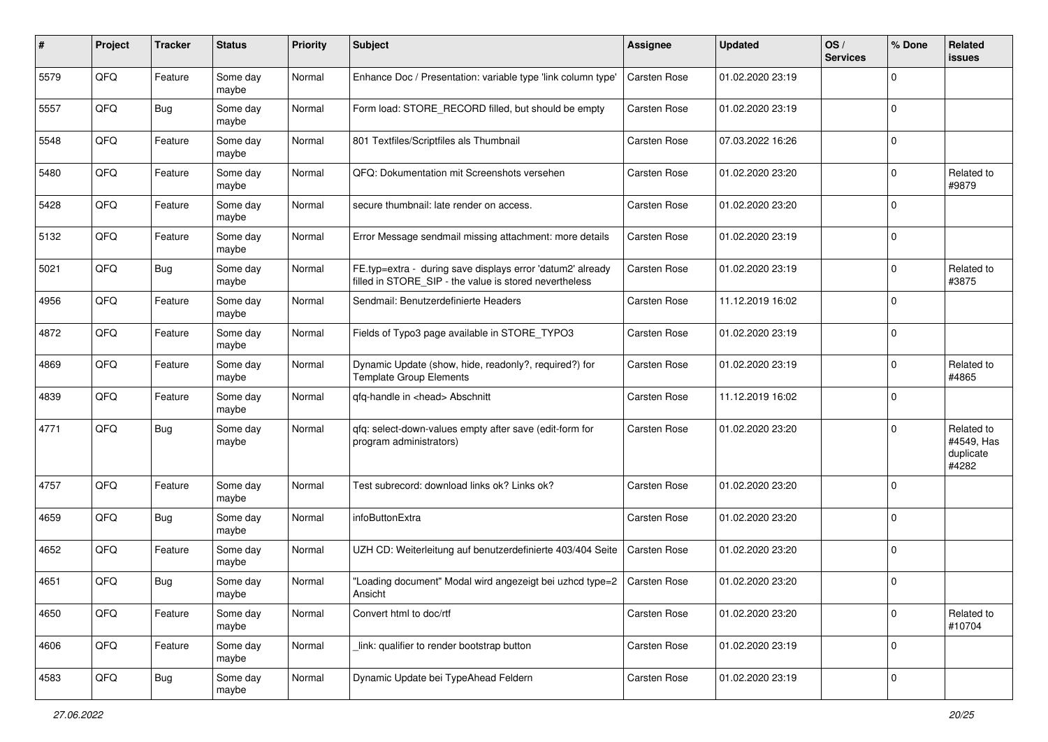| #    | Project | <b>Tracker</b> | <b>Status</b>     | <b>Priority</b> | Subject                                                                                                              | <b>Assignee</b>     | <b>Updated</b>   | OS/<br><b>Services</b> | % Done      | Related<br>issues                              |
|------|---------|----------------|-------------------|-----------------|----------------------------------------------------------------------------------------------------------------------|---------------------|------------------|------------------------|-------------|------------------------------------------------|
| 5579 | QFQ     | Feature        | Some day<br>maybe | Normal          | Enhance Doc / Presentation: variable type 'link column type'                                                         | <b>Carsten Rose</b> | 01.02.2020 23:19 |                        | 0           |                                                |
| 5557 | QFQ     | Bug            | Some day<br>maybe | Normal          | Form load: STORE_RECORD filled, but should be empty                                                                  | Carsten Rose        | 01.02.2020 23:19 |                        | $\mathbf 0$ |                                                |
| 5548 | QFQ     | Feature        | Some day<br>maybe | Normal          | 801 Textfiles/Scriptfiles als Thumbnail                                                                              | Carsten Rose        | 07.03.2022 16:26 |                        | $\mathbf 0$ |                                                |
| 5480 | QFQ     | Feature        | Some day<br>maybe | Normal          | QFQ: Dokumentation mit Screenshots versehen                                                                          | Carsten Rose        | 01.02.2020 23:20 |                        | 0           | Related to<br>#9879                            |
| 5428 | QFQ     | Feature        | Some day<br>maybe | Normal          | secure thumbnail: late render on access.                                                                             | Carsten Rose        | 01.02.2020 23:20 |                        | $\mathbf 0$ |                                                |
| 5132 | QFQ     | Feature        | Some day<br>maybe | Normal          | Error Message sendmail missing attachment: more details                                                              | Carsten Rose        | 01.02.2020 23:19 |                        | $\mathbf 0$ |                                                |
| 5021 | QFQ     | <b>Bug</b>     | Some day<br>maybe | Normal          | FE.typ=extra - during save displays error 'datum2' already<br>filled in STORE SIP - the value is stored nevertheless | Carsten Rose        | 01.02.2020 23:19 |                        | $\mathbf 0$ | Related to<br>#3875                            |
| 4956 | QFQ     | Feature        | Some day<br>maybe | Normal          | Sendmail: Benutzerdefinierte Headers                                                                                 | Carsten Rose        | 11.12.2019 16:02 |                        | $\mathbf 0$ |                                                |
| 4872 | QFQ     | Feature        | Some day<br>maybe | Normal          | Fields of Typo3 page available in STORE_TYPO3                                                                        | Carsten Rose        | 01.02.2020 23:19 |                        | $\mathbf 0$ |                                                |
| 4869 | QFQ     | Feature        | Some day<br>maybe | Normal          | Dynamic Update (show, hide, readonly?, required?) for<br><b>Template Group Elements</b>                              | Carsten Rose        | 01.02.2020 23:19 |                        | 0           | Related to<br>#4865                            |
| 4839 | QFQ     | Feature        | Some day<br>maybe | Normal          | qfq-handle in <head> Abschnitt</head>                                                                                | Carsten Rose        | 11.12.2019 16:02 |                        | 0           |                                                |
| 4771 | QFQ     | <b>Bug</b>     | Some day<br>maybe | Normal          | qfq: select-down-values empty after save (edit-form for<br>program administrators)                                   | Carsten Rose        | 01.02.2020 23:20 |                        | $\mathbf 0$ | Related to<br>#4549, Has<br>duplicate<br>#4282 |
| 4757 | QFQ     | Feature        | Some day<br>maybe | Normal          | Test subrecord: download links ok? Links ok?                                                                         | Carsten Rose        | 01.02.2020 23:20 |                        | $\mathbf 0$ |                                                |
| 4659 | QFQ     | <b>Bug</b>     | Some day<br>maybe | Normal          | infoButtonExtra                                                                                                      | Carsten Rose        | 01.02.2020 23:20 |                        | $\mathbf 0$ |                                                |
| 4652 | QFQ     | Feature        | Some day<br>maybe | Normal          | UZH CD: Weiterleitung auf benutzerdefinierte 403/404 Seite                                                           | Carsten Rose        | 01.02.2020 23:20 |                        | $\mathbf 0$ |                                                |
| 4651 | QFQ     | <b>Bug</b>     | Some day<br>maybe | Normal          | "Loading document" Modal wird angezeigt bei uzhcd type=2<br>Ansicht                                                  | Carsten Rose        | 01.02.2020 23:20 |                        | $\mathbf 0$ |                                                |
| 4650 | QFQ     | Feature        | Some day<br>maybe | Normal          | Convert html to doc/rtf                                                                                              | Carsten Rose        | 01.02.2020 23:20 |                        | $\mathbf 0$ | Related to<br>#10704                           |
| 4606 | QFQ     | Feature        | Some day<br>maybe | Normal          | link: qualifier to render bootstrap button                                                                           | Carsten Rose        | 01.02.2020 23:19 |                        | $\mathbf 0$ |                                                |
| 4583 | QFG     | <b>Bug</b>     | Some day<br>maybe | Normal          | Dynamic Update bei TypeAhead Feldern                                                                                 | Carsten Rose        | 01.02.2020 23:19 |                        | $\pmb{0}$   |                                                |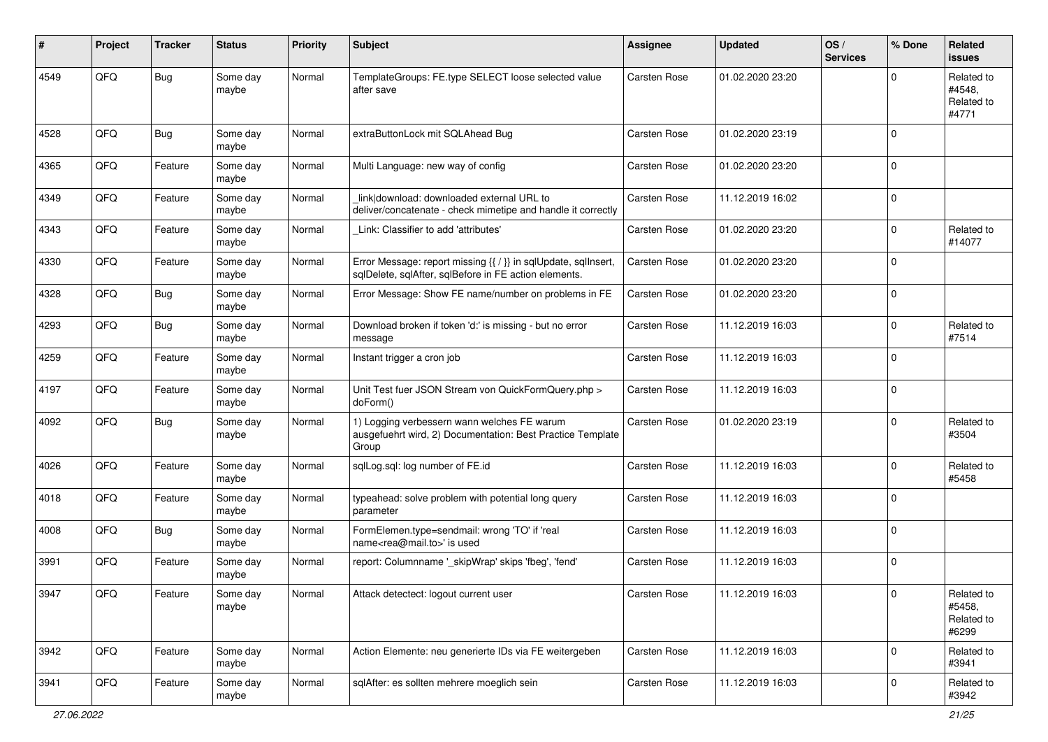| ∦    | Project | <b>Tracker</b> | <b>Status</b>     | <b>Priority</b> | <b>Subject</b>                                                                                                          | <b>Assignee</b>     | <b>Updated</b>   | OS/<br><b>Services</b> | % Done      | Related<br>issues                           |
|------|---------|----------------|-------------------|-----------------|-------------------------------------------------------------------------------------------------------------------------|---------------------|------------------|------------------------|-------------|---------------------------------------------|
| 4549 | QFQ     | <b>Bug</b>     | Some day<br>maybe | Normal          | TemplateGroups: FE.type SELECT loose selected value<br>after save                                                       | <b>Carsten Rose</b> | 01.02.2020 23:20 |                        | $\Omega$    | Related to<br>#4548.<br>Related to<br>#4771 |
| 4528 | QFQ     | <b>Bug</b>     | Some day<br>maybe | Normal          | extraButtonLock mit SQLAhead Bug                                                                                        | <b>Carsten Rose</b> | 01.02.2020 23:19 |                        | $\Omega$    |                                             |
| 4365 | QFQ     | Feature        | Some day<br>maybe | Normal          | Multi Language: new way of config                                                                                       | <b>Carsten Rose</b> | 01.02.2020 23:20 |                        | 0           |                                             |
| 4349 | QFQ     | Feature        | Some day<br>maybe | Normal          | link download: downloaded external URL to<br>deliver/concatenate - check mimetipe and handle it correctly               | <b>Carsten Rose</b> | 11.12.2019 16:02 |                        | $\Omega$    |                                             |
| 4343 | QFQ     | Feature        | Some day<br>maybe | Normal          | Link: Classifier to add 'attributes'                                                                                    | <b>Carsten Rose</b> | 01.02.2020 23:20 |                        | $\mathbf 0$ | Related to<br>#14077                        |
| 4330 | QFQ     | Feature        | Some day<br>maybe | Normal          | Error Message: report missing {{ / }} in sqlUpdate, sqlInsert,<br>sqlDelete, sqlAfter, sqlBefore in FE action elements. | Carsten Rose        | 01.02.2020 23:20 |                        | $\Omega$    |                                             |
| 4328 | QFQ     | Bug            | Some day<br>maybe | Normal          | Error Message: Show FE name/number on problems in FE                                                                    | <b>Carsten Rose</b> | 01.02.2020 23:20 |                        | $\mathbf 0$ |                                             |
| 4293 | QFQ     | Bug            | Some day<br>maybe | Normal          | Download broken if token 'd:' is missing - but no error<br>message                                                      | Carsten Rose        | 11.12.2019 16:03 |                        | 0           | Related to<br>#7514                         |
| 4259 | QFQ     | Feature        | Some day<br>maybe | Normal          | Instant trigger a cron job                                                                                              | <b>Carsten Rose</b> | 11.12.2019 16:03 |                        | $\Omega$    |                                             |
| 4197 | QFQ     | Feature        | Some day<br>maybe | Normal          | Unit Test fuer JSON Stream von QuickFormQuery.php ><br>doForm()                                                         | Carsten Rose        | 11.12.2019 16:03 |                        | 0           |                                             |
| 4092 | QFQ     | Bug            | Some day<br>maybe | Normal          | 1) Logging verbessern wann welches FE warum<br>ausgefuehrt wird, 2) Documentation: Best Practice Template<br>Group      | <b>Carsten Rose</b> | 01.02.2020 23:19 |                        | $\mathbf 0$ | Related to<br>#3504                         |
| 4026 | QFQ     | Feature        | Some day<br>maybe | Normal          | sqlLog.sql: log number of FE.id                                                                                         | Carsten Rose        | 11.12.2019 16:03 |                        | $\mathbf 0$ | Related to<br>#5458                         |
| 4018 | QFQ     | Feature        | Some day<br>maybe | Normal          | typeahead: solve problem with potential long query<br>parameter                                                         | Carsten Rose        | 11.12.2019 16:03 |                        | 0           |                                             |
| 4008 | QFQ     | <b>Bug</b>     | Some day<br>maybe | Normal          | FormElemen.type=sendmail: wrong 'TO' if 'real<br>name <rea@mail.to>' is used</rea@mail.to>                              | <b>Carsten Rose</b> | 11.12.2019 16:03 |                        | $\mathbf 0$ |                                             |
| 3991 | QFQ     | Feature        | Some day<br>maybe | Normal          | report: Columnname '_skipWrap' skips 'fbeg', 'fend'                                                                     | Carsten Rose        | 11.12.2019 16:03 |                        | $\mathbf 0$ |                                             |
| 3947 | QFQ     | Feature        | Some day<br>maybe | Normal          | Attack detectect: logout current user                                                                                   | Carsten Rose        | 11.12.2019 16:03 |                        | $\mathsf 0$ | Related to<br>#5458.<br>Related to<br>#6299 |
| 3942 | QFQ     | Feature        | Some day<br>maybe | Normal          | Action Elemente: neu generierte IDs via FE weitergeben                                                                  | Carsten Rose        | 11.12.2019 16:03 |                        | $\mathbf 0$ | Related to<br>#3941                         |
| 3941 | QFQ     | Feature        | Some day<br>maybe | Normal          | sqlAfter: es sollten mehrere moeglich sein                                                                              | Carsten Rose        | 11.12.2019 16:03 |                        | 0           | Related to<br>#3942                         |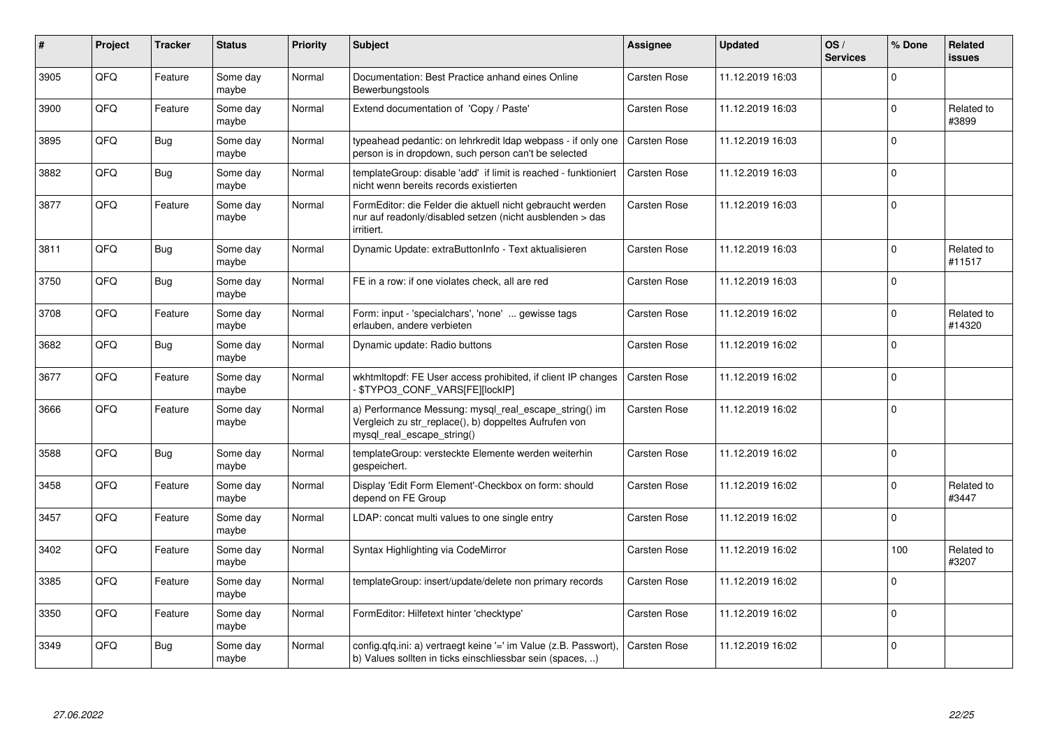| ∦    | Project | <b>Tracker</b> | <b>Status</b>     | <b>Priority</b> | <b>Subject</b>                                                                                                                               | <b>Assignee</b>     | <b>Updated</b>   | OS/<br><b>Services</b> | % Done      | <b>Related</b><br><b>issues</b> |
|------|---------|----------------|-------------------|-----------------|----------------------------------------------------------------------------------------------------------------------------------------------|---------------------|------------------|------------------------|-------------|---------------------------------|
| 3905 | QFQ     | Feature        | Some day<br>maybe | Normal          | Documentation: Best Practice anhand eines Online<br>Bewerbungstools                                                                          | Carsten Rose        | 11.12.2019 16:03 |                        | $\mathbf 0$ |                                 |
| 3900 | QFQ     | Feature        | Some day<br>maybe | Normal          | Extend documentation of 'Copy / Paste'                                                                                                       | Carsten Rose        | 11.12.2019 16:03 |                        | $\mathbf 0$ | Related to<br>#3899             |
| 3895 | QFQ     | <b>Bug</b>     | Some day<br>maybe | Normal          | typeahead pedantic: on lehrkredit Idap webpass - if only one<br>person is in dropdown, such person can't be selected                         | <b>Carsten Rose</b> | 11.12.2019 16:03 |                        | $\mathbf 0$ |                                 |
| 3882 | QFQ     | <b>Bug</b>     | Some day<br>maybe | Normal          | templateGroup: disable 'add' if limit is reached - funktioniert<br>nicht wenn bereits records existierten                                    | Carsten Rose        | 11.12.2019 16:03 |                        | $\mathbf 0$ |                                 |
| 3877 | QFQ     | Feature        | Some day<br>maybe | Normal          | FormEditor: die Felder die aktuell nicht gebraucht werden<br>nur auf readonly/disabled setzen (nicht ausblenden > das<br>irritiert.          | Carsten Rose        | 11.12.2019 16:03 |                        | $\pmb{0}$   |                                 |
| 3811 | QFQ     | Bug            | Some day<br>maybe | Normal          | Dynamic Update: extraButtonInfo - Text aktualisieren                                                                                         | Carsten Rose        | 11.12.2019 16:03 |                        | $\mathbf 0$ | Related to<br>#11517            |
| 3750 | QFQ     | <b>Bug</b>     | Some day<br>maybe | Normal          | FE in a row: if one violates check, all are red                                                                                              | Carsten Rose        | 11.12.2019 16:03 |                        | $\mathbf 0$ |                                 |
| 3708 | QFQ     | Feature        | Some day<br>maybe | Normal          | Form: input - 'specialchars', 'none'  gewisse tags<br>erlauben, andere verbieten                                                             | Carsten Rose        | 11.12.2019 16:02 |                        | $\mathbf 0$ | Related to<br>#14320            |
| 3682 | QFQ     | Bug            | Some day<br>maybe | Normal          | Dynamic update: Radio buttons                                                                                                                | Carsten Rose        | 11.12.2019 16:02 |                        | $\mathbf 0$ |                                 |
| 3677 | QFQ     | Feature        | Some day<br>maybe | Normal          | wkhtmltopdf: FE User access prohibited, if client IP changes<br>\$TYPO3_CONF_VARS[FE][lockIP]                                                | Carsten Rose        | 11.12.2019 16:02 |                        | $\mathbf 0$ |                                 |
| 3666 | QFQ     | Feature        | Some day<br>maybe | Normal          | a) Performance Messung: mysql_real_escape_string() im<br>Vergleich zu str_replace(), b) doppeltes Aufrufen von<br>mysgl real escape string() | Carsten Rose        | 11.12.2019 16:02 |                        | $\Omega$    |                                 |
| 3588 | QFQ     | <b>Bug</b>     | Some day<br>maybe | Normal          | templateGroup: versteckte Elemente werden weiterhin<br>gespeichert.                                                                          | Carsten Rose        | 11.12.2019 16:02 |                        | $\mathbf 0$ |                                 |
| 3458 | QFQ     | Feature        | Some day<br>maybe | Normal          | Display 'Edit Form Element'-Checkbox on form: should<br>depend on FE Group                                                                   | Carsten Rose        | 11.12.2019 16:02 |                        | $\Omega$    | Related to<br>#3447             |
| 3457 | QFQ     | Feature        | Some day<br>maybe | Normal          | LDAP: concat multi values to one single entry                                                                                                | Carsten Rose        | 11.12.2019 16:02 |                        | $\mathbf 0$ |                                 |
| 3402 | QFQ     | Feature        | Some day<br>maybe | Normal          | Syntax Highlighting via CodeMirror                                                                                                           | Carsten Rose        | 11.12.2019 16:02 |                        | 100         | Related to<br>#3207             |
| 3385 | QFQ     | Feature        | Some day<br>maybe | Normal          | templateGroup: insert/update/delete non primary records                                                                                      | Carsten Rose        | 11.12.2019 16:02 |                        | $\pmb{0}$   |                                 |
| 3350 | QFQ     | Feature        | Some day<br>maybe | Normal          | FormEditor: Hilfetext hinter 'checktype'                                                                                                     | Carsten Rose        | 11.12.2019 16:02 |                        | $\mathbf 0$ |                                 |
| 3349 | QFQ     | Bug            | Some day<br>maybe | Normal          | config.qfq.ini: a) vertraegt keine '=' im Value (z.B. Passwort),<br>b) Values sollten in ticks einschliessbar sein (spaces, )                | Carsten Rose        | 11.12.2019 16:02 |                        | $\mathbf 0$ |                                 |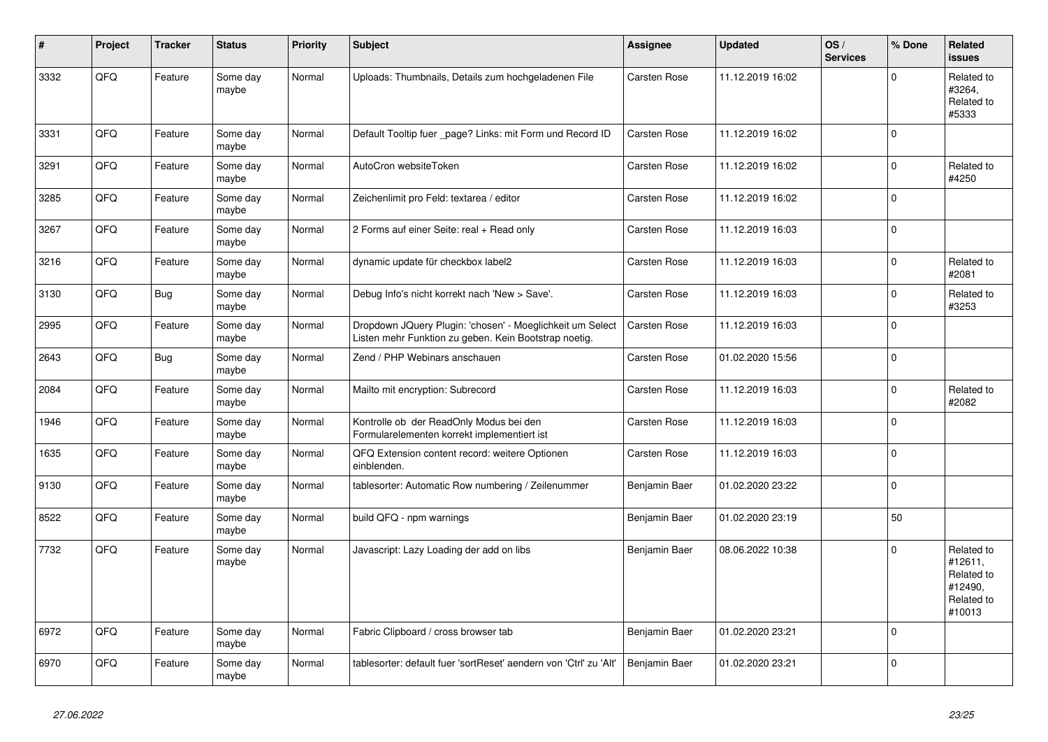| #    | Project | <b>Tracker</b> | <b>Status</b>     | <b>Priority</b> | <b>Subject</b>                                                                                                     | Assignee            | <b>Updated</b>   | OS/<br><b>Services</b> | % Done       | <b>Related</b><br><b>issues</b>                                        |
|------|---------|----------------|-------------------|-----------------|--------------------------------------------------------------------------------------------------------------------|---------------------|------------------|------------------------|--------------|------------------------------------------------------------------------|
| 3332 | QFQ     | Feature        | Some day<br>maybe | Normal          | Uploads: Thumbnails, Details zum hochgeladenen File                                                                | Carsten Rose        | 11.12.2019 16:02 |                        | $\Omega$     | Related to<br>#3264,<br>Related to<br>#5333                            |
| 3331 | QFQ     | Feature        | Some day<br>maybe | Normal          | Default Tooltip fuer _page? Links: mit Form und Record ID                                                          | Carsten Rose        | 11.12.2019 16:02 |                        | $\Omega$     |                                                                        |
| 3291 | QFQ     | Feature        | Some day<br>maybe | Normal          | AutoCron websiteToken                                                                                              | Carsten Rose        | 11.12.2019 16:02 |                        | $\Omega$     | Related to<br>#4250                                                    |
| 3285 | QFQ     | Feature        | Some day<br>maybe | Normal          | Zeichenlimit pro Feld: textarea / editor                                                                           | Carsten Rose        | 11.12.2019 16:02 |                        | $\Omega$     |                                                                        |
| 3267 | QFQ     | Feature        | Some day<br>maybe | Normal          | 2 Forms auf einer Seite: real + Read only                                                                          | <b>Carsten Rose</b> | 11.12.2019 16:03 |                        | $\mathbf 0$  |                                                                        |
| 3216 | QFQ     | Feature        | Some day<br>maybe | Normal          | dynamic update für checkbox label2                                                                                 | <b>Carsten Rose</b> | 11.12.2019 16:03 |                        | $\Omega$     | Related to<br>#2081                                                    |
| 3130 | QFQ     | Bug            | Some day<br>maybe | Normal          | Debug Info's nicht korrekt nach 'New > Save'.                                                                      | Carsten Rose        | 11.12.2019 16:03 |                        | $\mathbf 0$  | Related to<br>#3253                                                    |
| 2995 | QFQ     | Feature        | Some day<br>maybe | Normal          | Dropdown JQuery Plugin: 'chosen' - Moeglichkeit um Select<br>Listen mehr Funktion zu geben. Kein Bootstrap noetig. | Carsten Rose        | 11.12.2019 16:03 |                        | $\Omega$     |                                                                        |
| 2643 | QFQ     | Bug            | Some day<br>maybe | Normal          | Zend / PHP Webinars anschauen                                                                                      | <b>Carsten Rose</b> | 01.02.2020 15:56 |                        | $\mathbf{0}$ |                                                                        |
| 2084 | QFQ     | Feature        | Some day<br>maybe | Normal          | Mailto mit encryption: Subrecord                                                                                   | Carsten Rose        | 11.12.2019 16:03 |                        | $\mathbf 0$  | Related to<br>#2082                                                    |
| 1946 | QFQ     | Feature        | Some day<br>maybe | Normal          | Kontrolle ob der ReadOnly Modus bei den<br>Formularelementen korrekt implementiert ist                             | Carsten Rose        | 11.12.2019 16:03 |                        | $\Omega$     |                                                                        |
| 1635 | QFQ     | Feature        | Some day<br>maybe | Normal          | QFQ Extension content record: weitere Optionen<br>einblenden.                                                      | Carsten Rose        | 11.12.2019 16:03 |                        | $\mathbf 0$  |                                                                        |
| 9130 | QFQ     | Feature        | Some day<br>maybe | Normal          | tablesorter: Automatic Row numbering / Zeilenummer                                                                 | Benjamin Baer       | 01.02.2020 23:22 |                        | $\Omega$     |                                                                        |
| 8522 | QFQ     | Feature        | Some day<br>maybe | Normal          | build QFQ - npm warnings                                                                                           | Benjamin Baer       | 01.02.2020 23:19 |                        | 50           |                                                                        |
| 7732 | QFQ     | Feature        | Some day<br>maybe | Normal          | Javascript: Lazy Loading der add on libs                                                                           | Benjamin Baer       | 08.06.2022 10:38 |                        | $\Omega$     | Related to<br>#12611,<br>Related to<br>#12490,<br>Related to<br>#10013 |
| 6972 | QFQ     | Feature        | Some day<br>maybe | Normal          | Fabric Clipboard / cross browser tab                                                                               | Benjamin Baer       | 01.02.2020 23:21 |                        | $\Omega$     |                                                                        |
| 6970 | QFQ     | Feature        | Some day<br>maybe | Normal          | tablesorter: default fuer 'sortReset' aendern von 'Ctrl' zu 'Alt'                                                  | Benjamin Baer       | 01.02.2020 23:21 |                        | $\mathbf 0$  |                                                                        |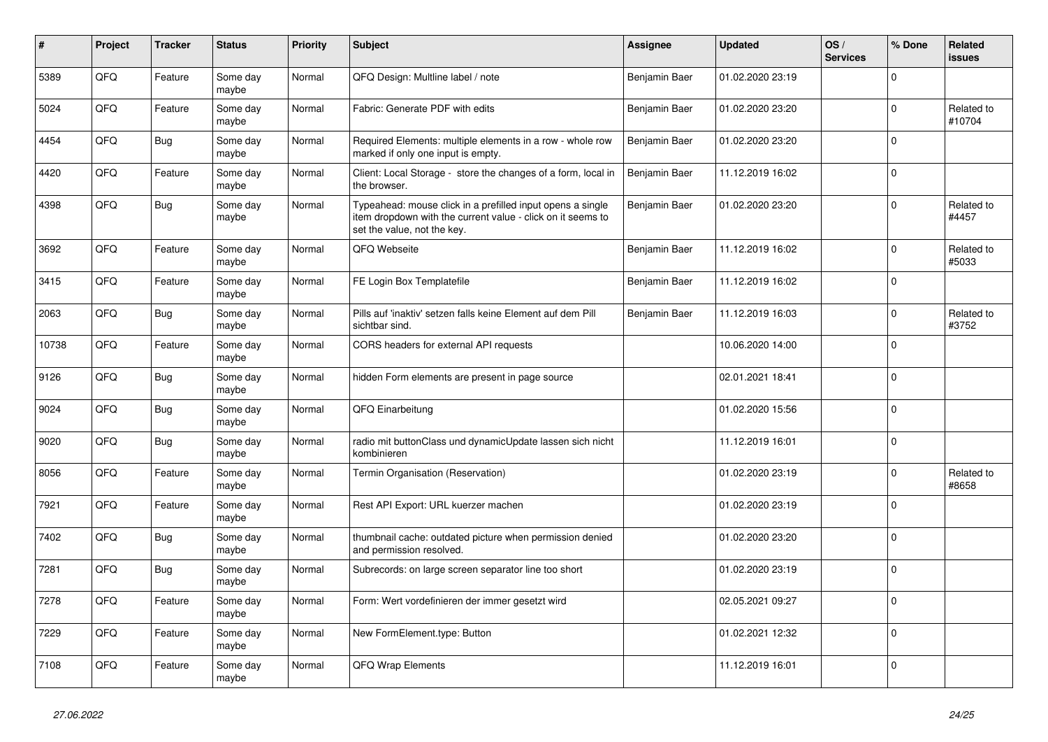| #     | Project | <b>Tracker</b> | <b>Status</b>     | <b>Priority</b> | <b>Subject</b>                                                                                                                                           | <b>Assignee</b> | <b>Updated</b>   | OS/<br><b>Services</b> | % Done         | Related<br>issues    |
|-------|---------|----------------|-------------------|-----------------|----------------------------------------------------------------------------------------------------------------------------------------------------------|-----------------|------------------|------------------------|----------------|----------------------|
| 5389  | QFQ     | Feature        | Some day<br>maybe | Normal          | QFQ Design: Multline label / note                                                                                                                        | Benjamin Baer   | 01.02.2020 23:19 |                        | $\Omega$       |                      |
| 5024  | QFQ     | Feature        | Some day<br>maybe | Normal          | Fabric: Generate PDF with edits                                                                                                                          | Benjamin Baer   | 01.02.2020 23:20 |                        | 0              | Related to<br>#10704 |
| 4454  | QFQ     | <b>Bug</b>     | Some day<br>maybe | Normal          | Required Elements: multiple elements in a row - whole row<br>marked if only one input is empty.                                                          | Benjamin Baer   | 01.02.2020 23:20 |                        | 0              |                      |
| 4420  | QFQ     | Feature        | Some day<br>maybe | Normal          | Client: Local Storage - store the changes of a form, local in<br>the browser.                                                                            | Benjamin Baer   | 11.12.2019 16:02 |                        | $\mathbf 0$    |                      |
| 4398  | QFQ     | Bug            | Some day<br>maybe | Normal          | Typeahead: mouse click in a prefilled input opens a single<br>item dropdown with the current value - click on it seems to<br>set the value, not the key. | Benjamin Baer   | 01.02.2020 23:20 |                        | 0              | Related to<br>#4457  |
| 3692  | QFQ     | Feature        | Some day<br>maybe | Normal          | QFQ Webseite                                                                                                                                             | Benjamin Baer   | 11.12.2019 16:02 |                        | $\mathbf 0$    | Related to<br>#5033  |
| 3415  | QFQ     | Feature        | Some day<br>maybe | Normal          | FE Login Box Templatefile                                                                                                                                | Benjamin Baer   | 11.12.2019 16:02 |                        | $\mathbf 0$    |                      |
| 2063  | QFQ     | <b>Bug</b>     | Some day<br>maybe | Normal          | Pills auf 'inaktiv' setzen falls keine Element auf dem Pill<br>sichtbar sind.                                                                            | Benjamin Baer   | 11.12.2019 16:03 |                        | 0              | Related to<br>#3752  |
| 10738 | QFQ     | Feature        | Some day<br>maybe | Normal          | CORS headers for external API requests                                                                                                                   |                 | 10.06.2020 14:00 |                        | $\mathbf 0$    |                      |
| 9126  | QFQ     | Bug            | Some day<br>maybe | Normal          | hidden Form elements are present in page source                                                                                                          |                 | 02.01.2021 18:41 |                        | $\mathbf 0$    |                      |
| 9024  | QFQ     | <b>Bug</b>     | Some day<br>maybe | Normal          | QFQ Einarbeitung                                                                                                                                         |                 | 01.02.2020 15:56 |                        | $\Omega$       |                      |
| 9020  | QFQ     | Bug            | Some day<br>maybe | Normal          | radio mit buttonClass und dynamicUpdate lassen sich nicht<br>kombinieren                                                                                 |                 | 11.12.2019 16:01 |                        | $\mathbf 0$    |                      |
| 8056  | QFQ     | Feature        | Some day<br>maybe | Normal          | Termin Organisation (Reservation)                                                                                                                        |                 | 01.02.2020 23:19 |                        | $\pmb{0}$      | Related to<br>#8658  |
| 7921  | QFQ     | Feature        | Some day<br>maybe | Normal          | Rest API Export: URL kuerzer machen                                                                                                                      |                 | 01.02.2020 23:19 |                        | 0              |                      |
| 7402  | QFQ     | <b>Bug</b>     | Some day<br>maybe | Normal          | thumbnail cache: outdated picture when permission denied<br>and permission resolved.                                                                     |                 | 01.02.2020 23:20 |                        | $\mathbf 0$    |                      |
| 7281  | QFQ     | <b>Bug</b>     | Some day<br>maybe | Normal          | Subrecords: on large screen separator line too short                                                                                                     |                 | 01.02.2020 23:19 |                        | $\Omega$       |                      |
| 7278  | QFQ     | Feature        | Some day<br>maybe | Normal          | Form: Wert vordefinieren der immer gesetzt wird                                                                                                          |                 | 02.05.2021 09:27 |                        | $\overline{0}$ |                      |
| 7229  | QFQ     | Feature        | Some day<br>maybe | Normal          | New FormElement.type: Button                                                                                                                             |                 | 01.02.2021 12:32 |                        | $\mathbf 0$    |                      |
| 7108  | QFQ     | Feature        | Some day<br>maybe | Normal          | <b>QFQ Wrap Elements</b>                                                                                                                                 |                 | 11.12.2019 16:01 |                        | 0              |                      |